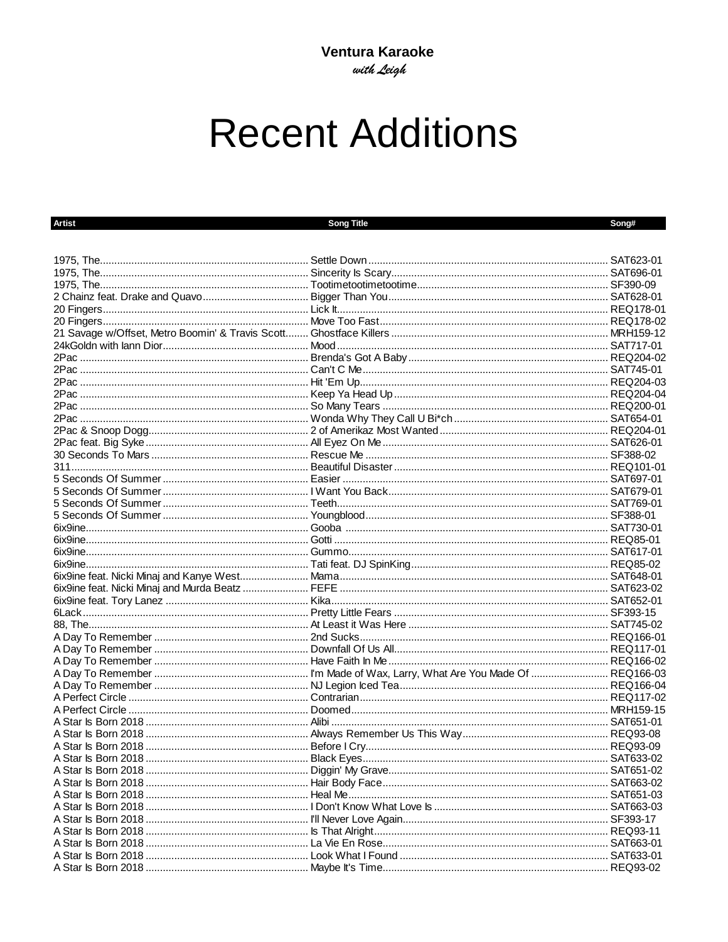## **Recent Additions**

| <b>Artist</b> | <b>Song Title</b> | Song# |
|---------------|-------------------|-------|
|               |                   |       |
|               |                   |       |
|               |                   |       |
|               |                   |       |
|               |                   |       |
|               |                   |       |
|               |                   |       |
|               |                   |       |
|               |                   |       |
|               |                   |       |
|               |                   |       |
|               |                   |       |
|               |                   |       |
|               |                   |       |
|               |                   |       |
|               |                   |       |
|               |                   |       |
|               |                   |       |
|               |                   |       |
|               |                   |       |
|               |                   |       |
|               |                   |       |
|               |                   |       |
|               |                   |       |
|               |                   |       |
|               |                   |       |
|               |                   |       |
|               |                   |       |
|               |                   |       |
|               |                   |       |
|               |                   |       |
|               |                   |       |
|               |                   |       |
|               |                   |       |
|               |                   |       |
|               |                   |       |
|               |                   |       |
|               |                   |       |
|               |                   |       |
|               |                   |       |
|               |                   |       |
|               |                   |       |
|               |                   |       |
|               |                   |       |
|               |                   |       |
|               |                   |       |
|               |                   |       |
|               |                   |       |
|               |                   |       |
|               |                   |       |
|               |                   |       |
|               |                   |       |
|               |                   |       |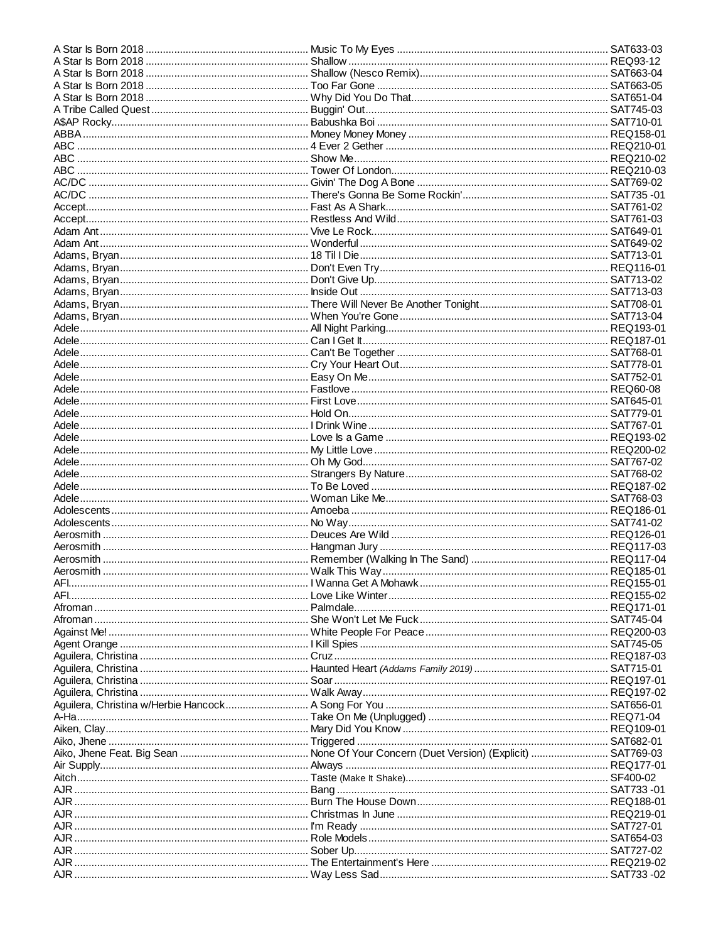| AJR ……………………………………………………………………………………… I'm Ready ……………………………………………………………………………………… SAT727-01 |  |
|---------------------------------------------------------------------------------------------|--|
|                                                                                             |  |
|                                                                                             |  |
|                                                                                             |  |
|                                                                                             |  |
|                                                                                             |  |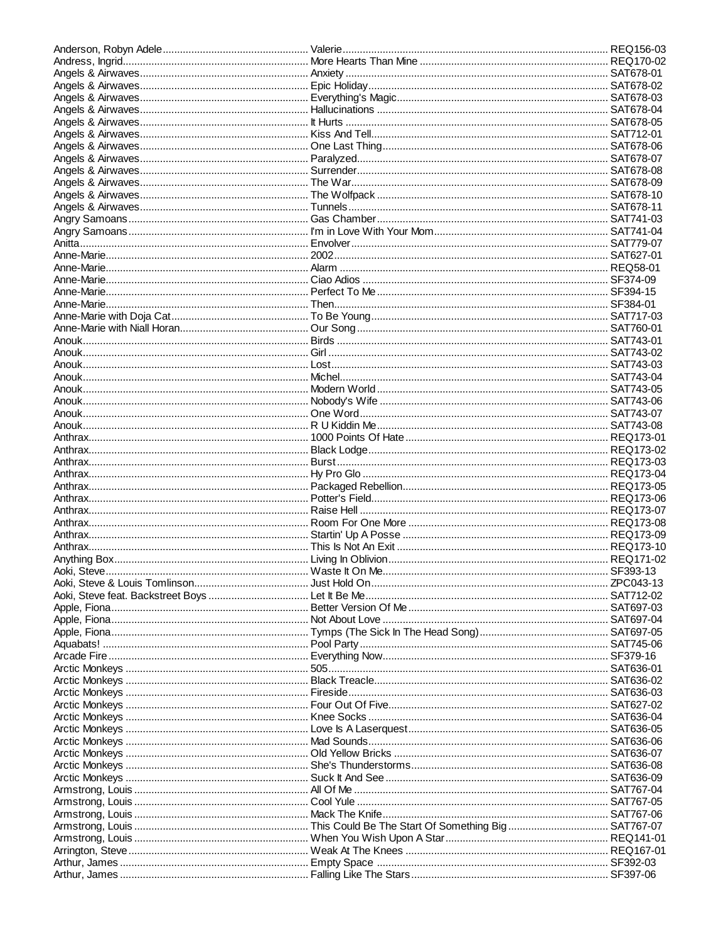| Arctic Monkeys ……………………………………………………………………Mad Sounds…………………………………………………………………………… SAT636-06 |  |
|--------------------------------------------------------------------------------------------|--|
|                                                                                            |  |
|                                                                                            |  |
|                                                                                            |  |
|                                                                                            |  |
|                                                                                            |  |
|                                                                                            |  |
|                                                                                            |  |
|                                                                                            |  |
|                                                                                            |  |
|                                                                                            |  |
|                                                                                            |  |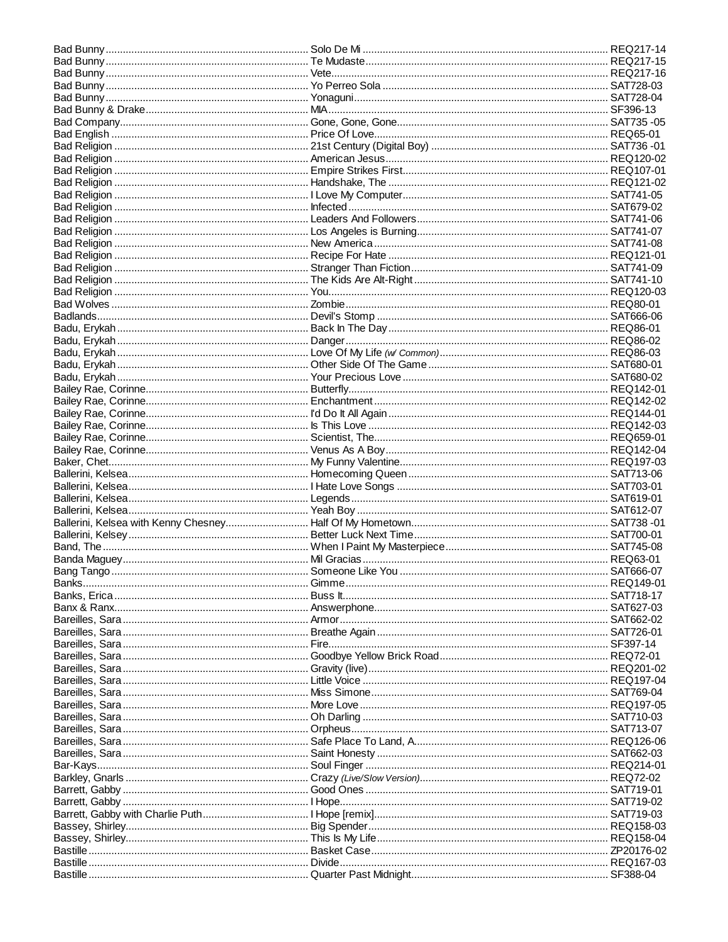| Barrett, Gabby ……………………………………………………… I Hope………………………………………………………………………………… SAT719-02 |  |
|--------------------------------------------------------------------------------------|--|
|                                                                                      |  |
|                                                                                      |  |
|                                                                                      |  |
|                                                                                      |  |
|                                                                                      |  |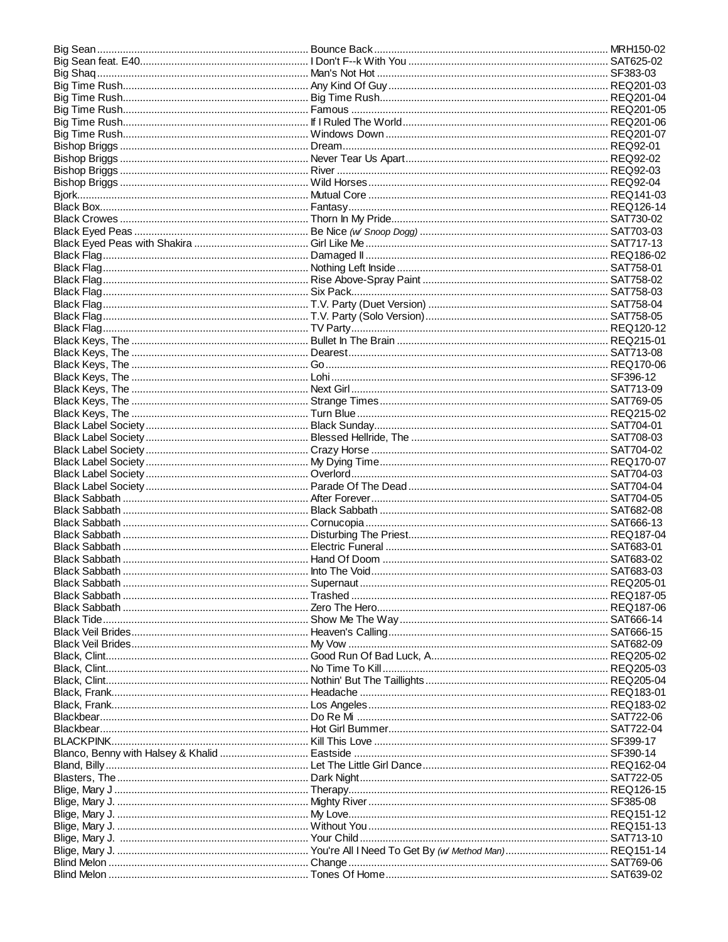| Black Sabbath ……………………………………………………… Into The Void………………………………………………………………………………… SAT683-03 |  |
|--------------------------------------------------------------------------------------------|--|
|                                                                                            |  |
|                                                                                            |  |
|                                                                                            |  |
|                                                                                            |  |
|                                                                                            |  |
|                                                                                            |  |
|                                                                                            |  |
|                                                                                            |  |
|                                                                                            |  |
|                                                                                            |  |
|                                                                                            |  |
|                                                                                            |  |
|                                                                                            |  |
|                                                                                            |  |
|                                                                                            |  |
|                                                                                            |  |
|                                                                                            |  |
|                                                                                            |  |
|                                                                                            |  |
|                                                                                            |  |
|                                                                                            |  |
|                                                                                            |  |
|                                                                                            |  |
|                                                                                            |  |
|                                                                                            |  |
|                                                                                            |  |
|                                                                                            |  |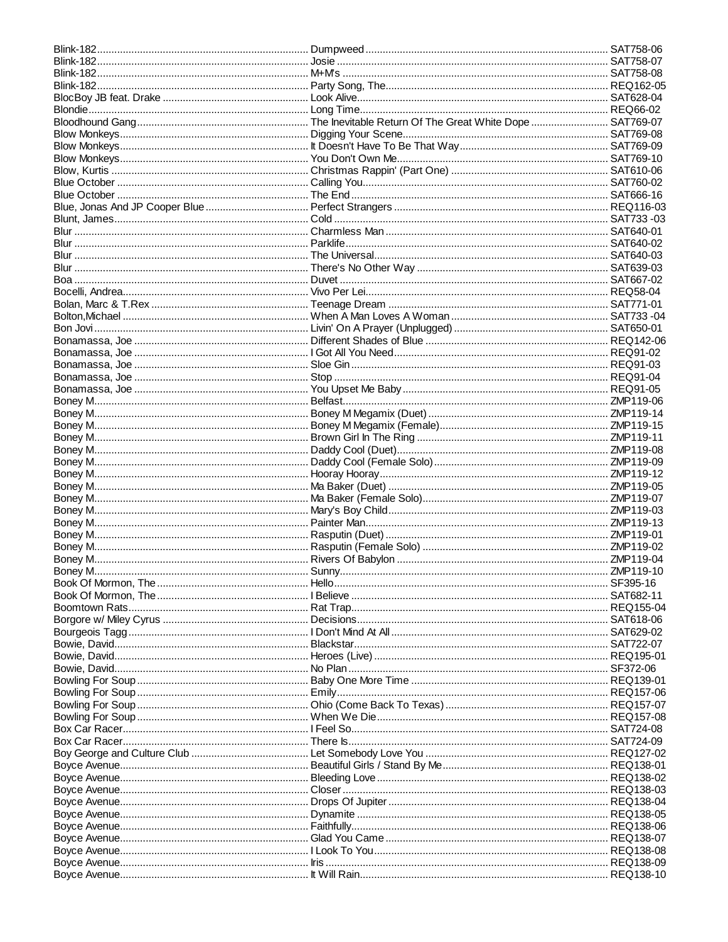| Book Of Mormon, The ………………………………………………… I Believe ……………………………………………………………………………… SAT682-11 |  |
|--------------------------------------------------------------------------------------------|--|
|                                                                                            |  |
|                                                                                            |  |
|                                                                                            |  |
|                                                                                            |  |
|                                                                                            |  |
|                                                                                            |  |
|                                                                                            |  |
|                                                                                            |  |
|                                                                                            |  |
|                                                                                            |  |
|                                                                                            |  |
|                                                                                            |  |
|                                                                                            |  |
|                                                                                            |  |
|                                                                                            |  |
|                                                                                            |  |
|                                                                                            |  |
|                                                                                            |  |
|                                                                                            |  |
|                                                                                            |  |
|                                                                                            |  |
|                                                                                            |  |
|                                                                                            |  |
|                                                                                            |  |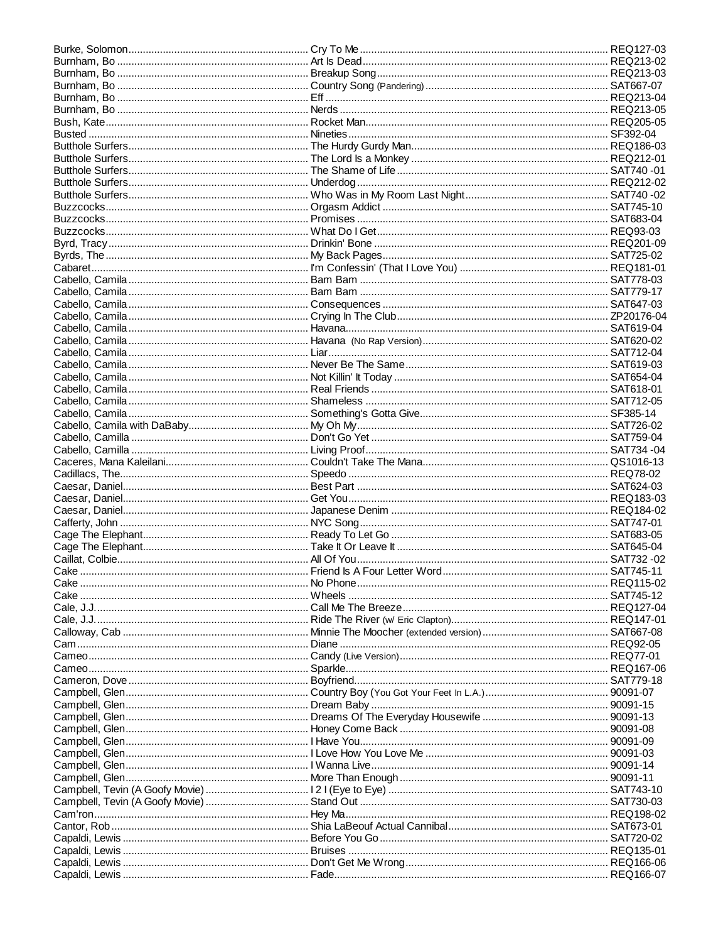| Cake ………………………………………………………………… No Phone…………………………………………………………………………… REQ115-02    |  |
|-----------------------------------------------------------------------------------|--|
| Cake …………………………………………………………………… Wheels …………………………………………………………………………………… SAT745-12 |  |
|                                                                                   |  |
|                                                                                   |  |
|                                                                                   |  |
|                                                                                   |  |
|                                                                                   |  |
|                                                                                   |  |
|                                                                                   |  |
|                                                                                   |  |
|                                                                                   |  |
|                                                                                   |  |
|                                                                                   |  |
|                                                                                   |  |
|                                                                                   |  |
|                                                                                   |  |
|                                                                                   |  |
|                                                                                   |  |
|                                                                                   |  |
|                                                                                   |  |
|                                                                                   |  |
|                                                                                   |  |
|                                                                                   |  |
|                                                                                   |  |
|                                                                                   |  |
|                                                                                   |  |
|                                                                                   |  |
|                                                                                   |  |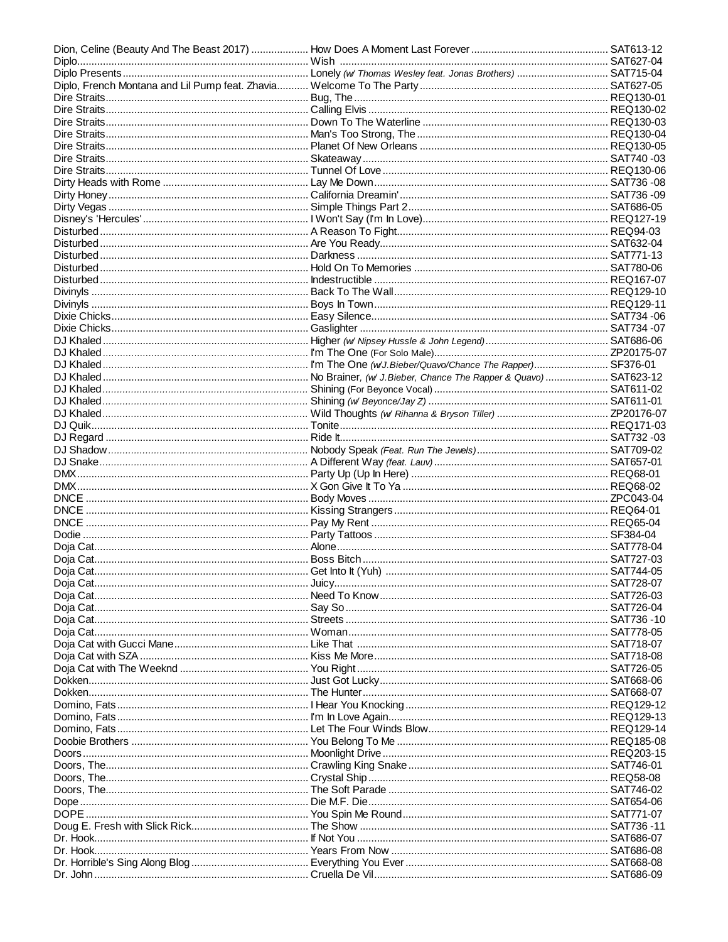| DNCE …………………………………………………………………… Pay My Rent ………………………………………………………………………… REQ65-04 |  |
|-----------------------------------------------------------------------------------|--|
|                                                                                   |  |
|                                                                                   |  |
|                                                                                   |  |
|                                                                                   |  |
|                                                                                   |  |
|                                                                                   |  |
|                                                                                   |  |
|                                                                                   |  |
|                                                                                   |  |
|                                                                                   |  |
|                                                                                   |  |
|                                                                                   |  |
|                                                                                   |  |
|                                                                                   |  |
|                                                                                   |  |
|                                                                                   |  |
|                                                                                   |  |
|                                                                                   |  |
|                                                                                   |  |
|                                                                                   |  |
|                                                                                   |  |
|                                                                                   |  |
|                                                                                   |  |
|                                                                                   |  |
|                                                                                   |  |
|                                                                                   |  |
|                                                                                   |  |
|                                                                                   |  |
|                                                                                   |  |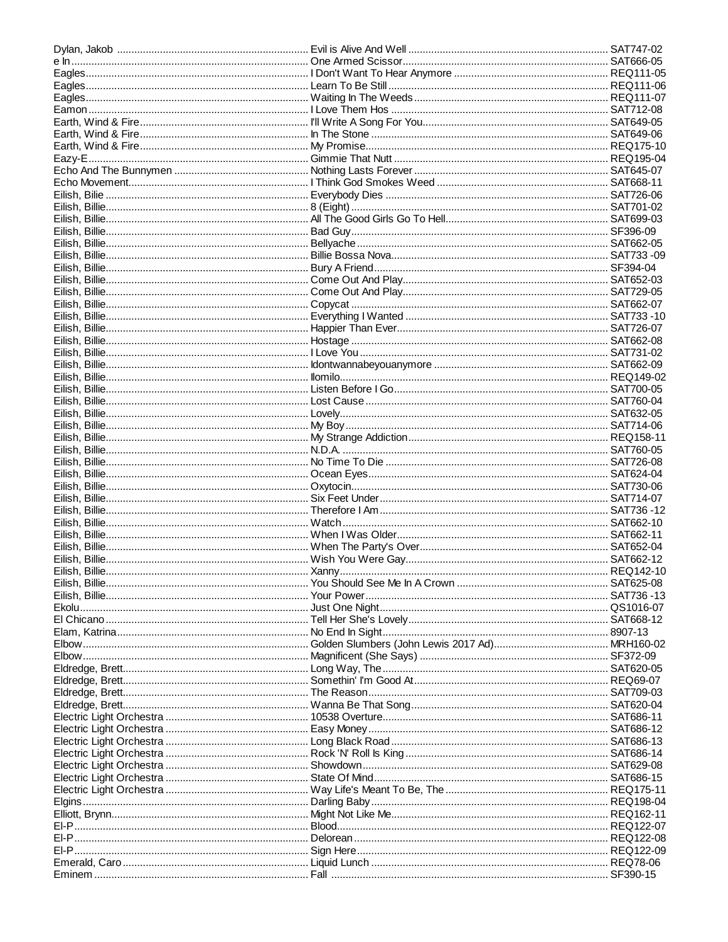| Elgins ………………………………………………………………………………… Darling Baby ………………………………………………………………………… REQ198-04 |  |
|--------------------------------------------------------------------------------------------|--|
|                                                                                            |  |
|                                                                                            |  |
|                                                                                            |  |
|                                                                                            |  |
|                                                                                            |  |
|                                                                                            |  |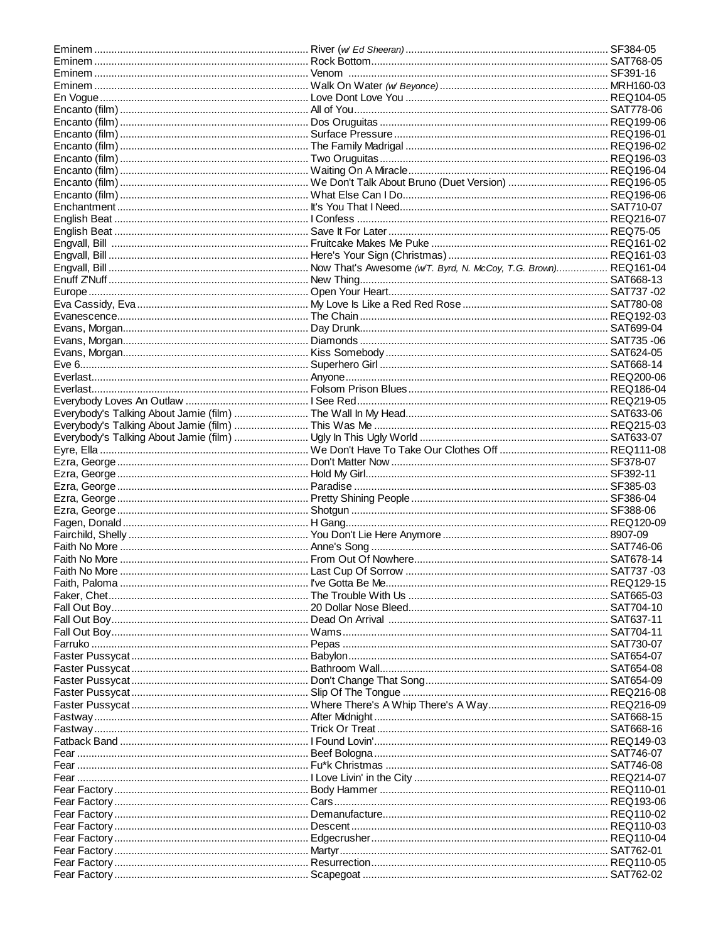| Fall Out Boy…………………………………………………………………………Dead On Arrival ……………………………………………………………………………SAT637-11 |  |
|------------------------------------------------------------------------------------------------|--|
| Fall Out Boy………………………………………………………… Wams………………………………………………………………………………… SAT704-11               |  |
|                                                                                                |  |
|                                                                                                |  |
|                                                                                                |  |
|                                                                                                |  |
|                                                                                                |  |
|                                                                                                |  |
|                                                                                                |  |
|                                                                                                |  |
|                                                                                                |  |
|                                                                                                |  |
|                                                                                                |  |
|                                                                                                |  |
|                                                                                                |  |
|                                                                                                |  |
|                                                                                                |  |
|                                                                                                |  |
|                                                                                                |  |
| Fear Factory………………………………………………………… Descent…………………………………………………………………………… REQ110-03              |  |
|                                                                                                |  |
|                                                                                                |  |
|                                                                                                |  |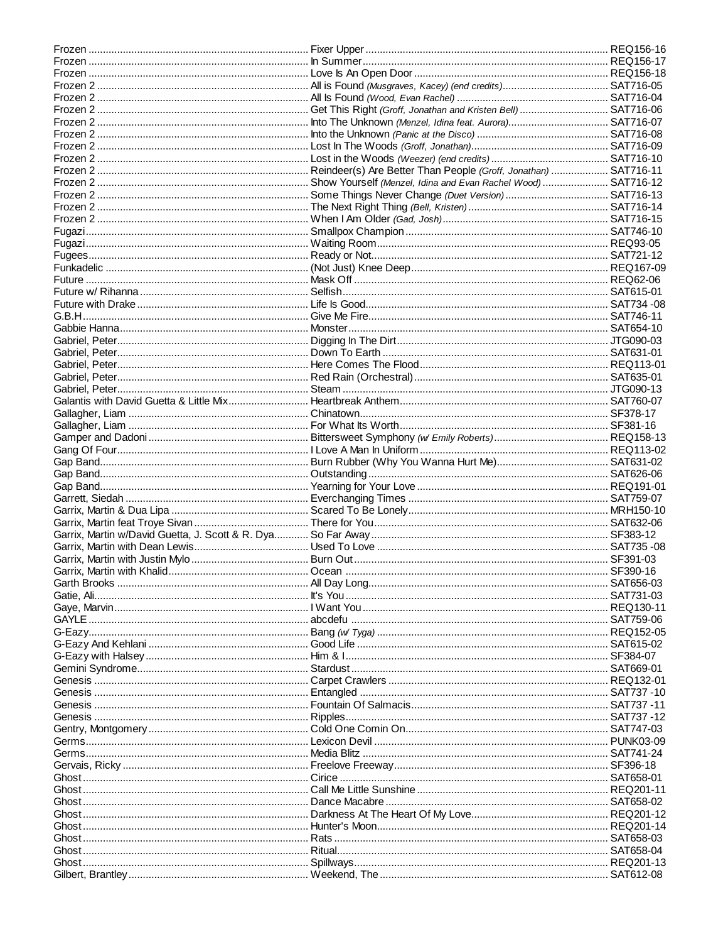| Future ………………………………………………………………… Mask Off ………………………………………………………………………………… REQ62-06         |  |
|--------------------------------------------------------------------------------------------|--|
|                                                                                            |  |
|                                                                                            |  |
|                                                                                            |  |
|                                                                                            |  |
|                                                                                            |  |
|                                                                                            |  |
|                                                                                            |  |
|                                                                                            |  |
|                                                                                            |  |
|                                                                                            |  |
|                                                                                            |  |
|                                                                                            |  |
|                                                                                            |  |
|                                                                                            |  |
|                                                                                            |  |
|                                                                                            |  |
|                                                                                            |  |
|                                                                                            |  |
|                                                                                            |  |
|                                                                                            |  |
|                                                                                            |  |
|                                                                                            |  |
|                                                                                            |  |
|                                                                                            |  |
|                                                                                            |  |
|                                                                                            |  |
|                                                                                            |  |
|                                                                                            |  |
|                                                                                            |  |
|                                                                                            |  |
| GAYLE ………………………………………………………………………………abcdefu …………………………………………………………………………………………SAT759-06    |  |
|                                                                                            |  |
|                                                                                            |  |
|                                                                                            |  |
|                                                                                            |  |
|                                                                                            |  |
|                                                                                            |  |
|                                                                                            |  |
|                                                                                            |  |
|                                                                                            |  |
|                                                                                            |  |
|                                                                                            |  |
|                                                                                            |  |
|                                                                                            |  |
|                                                                                            |  |
|                                                                                            |  |
|                                                                                            |  |
| Ghost ………………………………………………………………………………… Dance Macabre ………………………………………………………………………… SAT658-02 |  |
|                                                                                            |  |
|                                                                                            |  |
|                                                                                            |  |
|                                                                                            |  |
|                                                                                            |  |
|                                                                                            |  |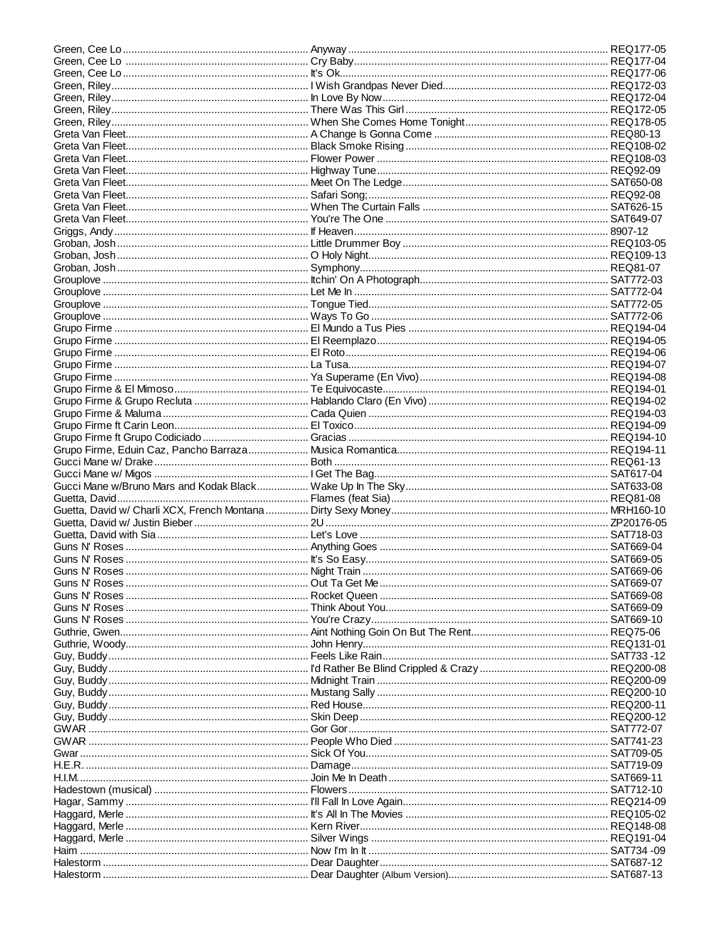| H.I.M……………………………………………………………………………………Join Me In Death………………………………………………………………………… SAT669-11 |  |
|---------------------------------------------------------------------------------------------|--|
|                                                                                             |  |
|                                                                                             |  |
|                                                                                             |  |
|                                                                                             |  |
|                                                                                             |  |
| Haim ……………………………………………………………………… Now I'm In It …………………………………………………………………………… SAT734 -09     |  |
|                                                                                             |  |
|                                                                                             |  |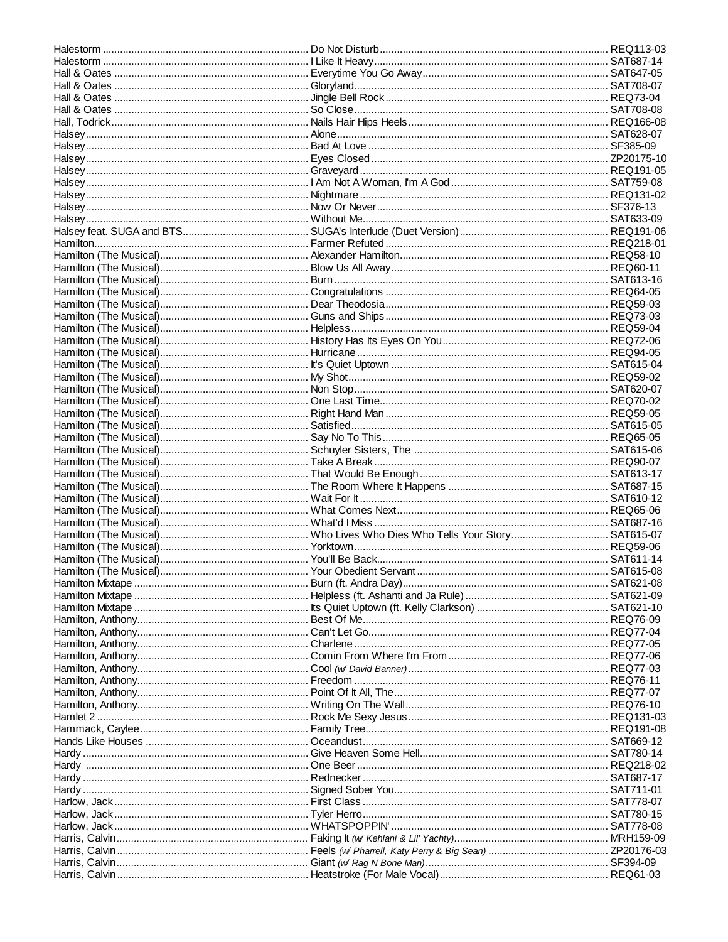| Halsey…………………………………………………………………… Nightmare ……………………………………………………………………………… REQ131-02  |  |
|--------------------------------------------------------------------------------------|--|
| Halsey…………………………………………………………………… Now Or Never………………………………………………………………………… SF376-13   |  |
|                                                                                      |  |
|                                                                                      |  |
|                                                                                      |  |
|                                                                                      |  |
|                                                                                      |  |
|                                                                                      |  |
|                                                                                      |  |
|                                                                                      |  |
|                                                                                      |  |
|                                                                                      |  |
|                                                                                      |  |
|                                                                                      |  |
|                                                                                      |  |
|                                                                                      |  |
|                                                                                      |  |
|                                                                                      |  |
|                                                                                      |  |
|                                                                                      |  |
|                                                                                      |  |
|                                                                                      |  |
|                                                                                      |  |
|                                                                                      |  |
|                                                                                      |  |
|                                                                                      |  |
|                                                                                      |  |
|                                                                                      |  |
|                                                                                      |  |
|                                                                                      |  |
|                                                                                      |  |
|                                                                                      |  |
|                                                                                      |  |
|                                                                                      |  |
|                                                                                      |  |
|                                                                                      |  |
|                                                                                      |  |
|                                                                                      |  |
|                                                                                      |  |
|                                                                                      |  |
|                                                                                      |  |
|                                                                                      |  |
|                                                                                      |  |
|                                                                                      |  |
|                                                                                      |  |
|                                                                                      |  |
|                                                                                      |  |
|                                                                                      |  |
| Hands Like Houses ………………………………………………… Oceandust……………………………………………………………………… SAT669-12 |  |
|                                                                                      |  |
|                                                                                      |  |
|                                                                                      |  |
|                                                                                      |  |
|                                                                                      |  |
|                                                                                      |  |
|                                                                                      |  |
|                                                                                      |  |
|                                                                                      |  |
|                                                                                      |  |
|                                                                                      |  |
|                                                                                      |  |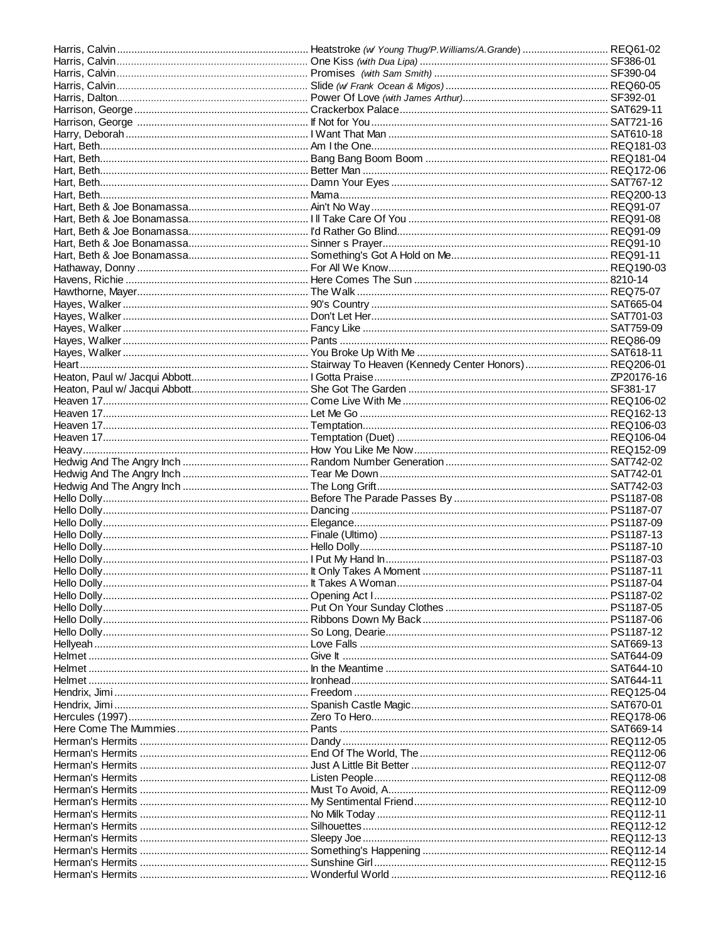| <u>Helmet ……………………………………………………………… Ironhead…………………………………………………………………………………… SAT644-11</u> |  |
|-------------------------------------------------------------------------------------------|--|
|                                                                                           |  |
|                                                                                           |  |
|                                                                                           |  |
|                                                                                           |  |
|                                                                                           |  |
|                                                                                           |  |
|                                                                                           |  |
|                                                                                           |  |
|                                                                                           |  |
|                                                                                           |  |
|                                                                                           |  |
|                                                                                           |  |
|                                                                                           |  |
|                                                                                           |  |
|                                                                                           |  |
|                                                                                           |  |
|                                                                                           |  |
|                                                                                           |  |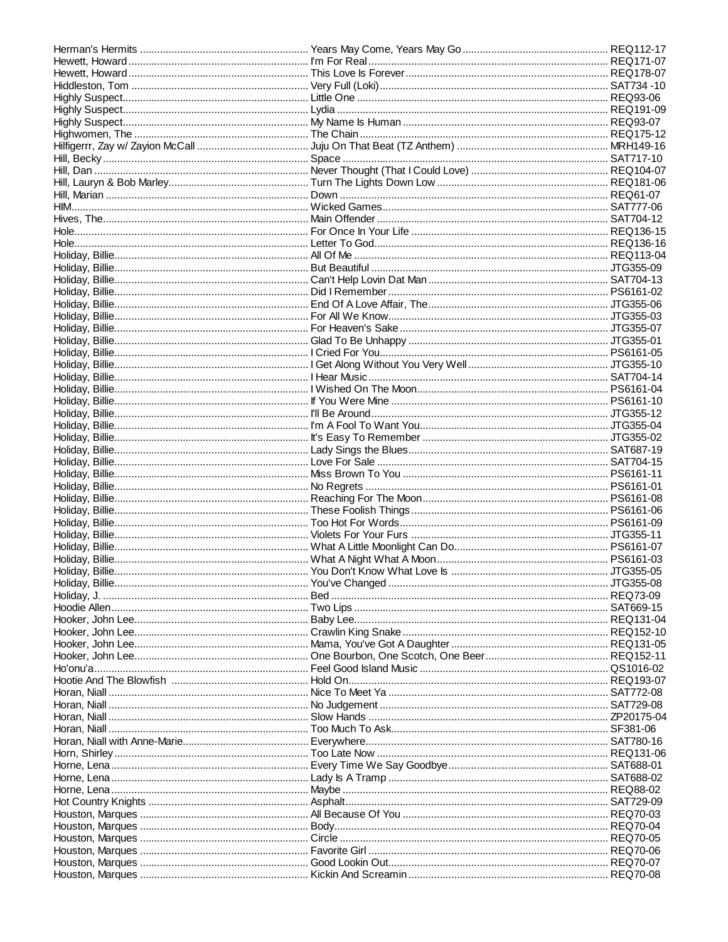| Horan, Niall ……………………………………………………………………… Nice To Meet Ya ………………………………………………………………………… SAT772-08 |  |
|-------------------------------------------------------------------------------------------------|--|
|                                                                                                 |  |
|                                                                                                 |  |
|                                                                                                 |  |
|                                                                                                 |  |
|                                                                                                 |  |
|                                                                                                 |  |
|                                                                                                 |  |
|                                                                                                 |  |
|                                                                                                 |  |
|                                                                                                 |  |
|                                                                                                 |  |
|                                                                                                 |  |
|                                                                                                 |  |
|                                                                                                 |  |
|                                                                                                 |  |
|                                                                                                 |  |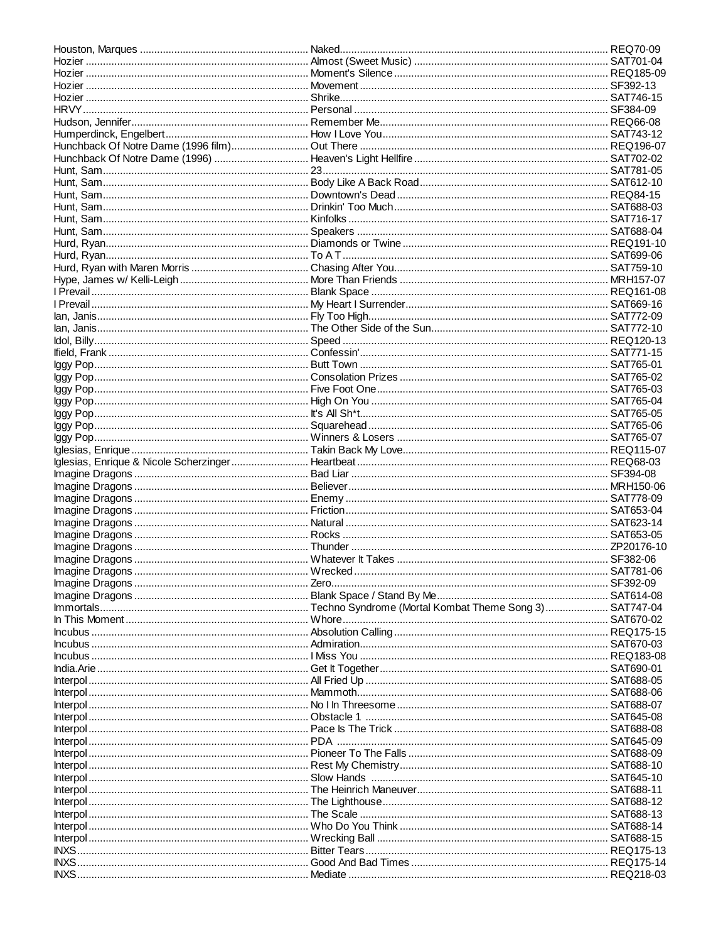| Hozier …………………………………………………………………… Movement ………………………………………………………………………………… SF392-13     |  |
|-----------------------------------------------------------------------------------------|--|
|                                                                                         |  |
|                                                                                         |  |
|                                                                                         |  |
|                                                                                         |  |
|                                                                                         |  |
|                                                                                         |  |
|                                                                                         |  |
|                                                                                         |  |
|                                                                                         |  |
|                                                                                         |  |
|                                                                                         |  |
|                                                                                         |  |
|                                                                                         |  |
|                                                                                         |  |
|                                                                                         |  |
|                                                                                         |  |
|                                                                                         |  |
|                                                                                         |  |
|                                                                                         |  |
|                                                                                         |  |
|                                                                                         |  |
|                                                                                         |  |
|                                                                                         |  |
|                                                                                         |  |
|                                                                                         |  |
|                                                                                         |  |
|                                                                                         |  |
|                                                                                         |  |
|                                                                                         |  |
| lggy Pop………………………………………………………………… It's All Sh*t……………………………………………………………………………… SAT765-05 |  |
|                                                                                         |  |
|                                                                                         |  |
|                                                                                         |  |
|                                                                                         |  |
|                                                                                         |  |
|                                                                                         |  |
|                                                                                         |  |
|                                                                                         |  |
|                                                                                         |  |
|                                                                                         |  |
|                                                                                         |  |
|                                                                                         |  |
|                                                                                         |  |
|                                                                                         |  |
|                                                                                         |  |
|                                                                                         |  |
|                                                                                         |  |
|                                                                                         |  |
|                                                                                         |  |
|                                                                                         |  |
|                                                                                         |  |
|                                                                                         |  |
|                                                                                         |  |
|                                                                                         |  |
|                                                                                         |  |
|                                                                                         |  |
|                                                                                         |  |
|                                                                                         |  |
|                                                                                         |  |
|                                                                                         |  |
|                                                                                         |  |
|                                                                                         |  |
|                                                                                         |  |
|                                                                                         |  |
|                                                                                         |  |
|                                                                                         |  |
|                                                                                         |  |
|                                                                                         |  |
|                                                                                         |  |
|                                                                                         |  |
|                                                                                         |  |
|                                                                                         |  |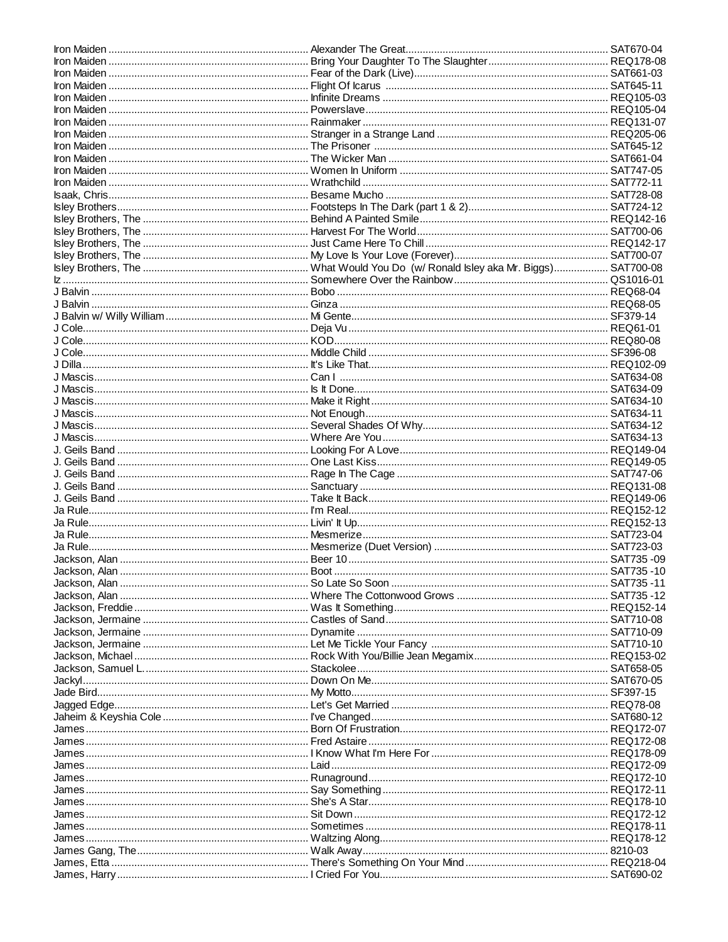| J Dilla……………………………………………………………………… It's Like That………………………………………………………………………………… REQ102-09 |  |
|--------------------------------------------------------------------------------------------|--|
|                                                                                            |  |
|                                                                                            |  |
|                                                                                            |  |
|                                                                                            |  |
|                                                                                            |  |
|                                                                                            |  |
|                                                                                            |  |
|                                                                                            |  |
|                                                                                            |  |
|                                                                                            |  |
|                                                                                            |  |
|                                                                                            |  |
|                                                                                            |  |
|                                                                                            |  |
|                                                                                            |  |
|                                                                                            |  |
|                                                                                            |  |
|                                                                                            |  |
|                                                                                            |  |
|                                                                                            |  |
|                                                                                            |  |
|                                                                                            |  |
|                                                                                            |  |
|                                                                                            |  |
|                                                                                            |  |
|                                                                                            |  |
|                                                                                            |  |
|                                                                                            |  |
|                                                                                            |  |
|                                                                                            |  |
|                                                                                            |  |
|                                                                                            |  |
|                                                                                            |  |
|                                                                                            |  |
|                                                                                            |  |
|                                                                                            |  |
|                                                                                            |  |
| James…………………………………………………………………Fred Astaire ………………………………………………………………………………REQ172-08         |  |
|                                                                                            |  |
|                                                                                            |  |
|                                                                                            |  |
|                                                                                            |  |
|                                                                                            |  |
|                                                                                            |  |
|                                                                                            |  |
|                                                                                            |  |
|                                                                                            |  |
|                                                                                            |  |
|                                                                                            |  |
|                                                                                            |  |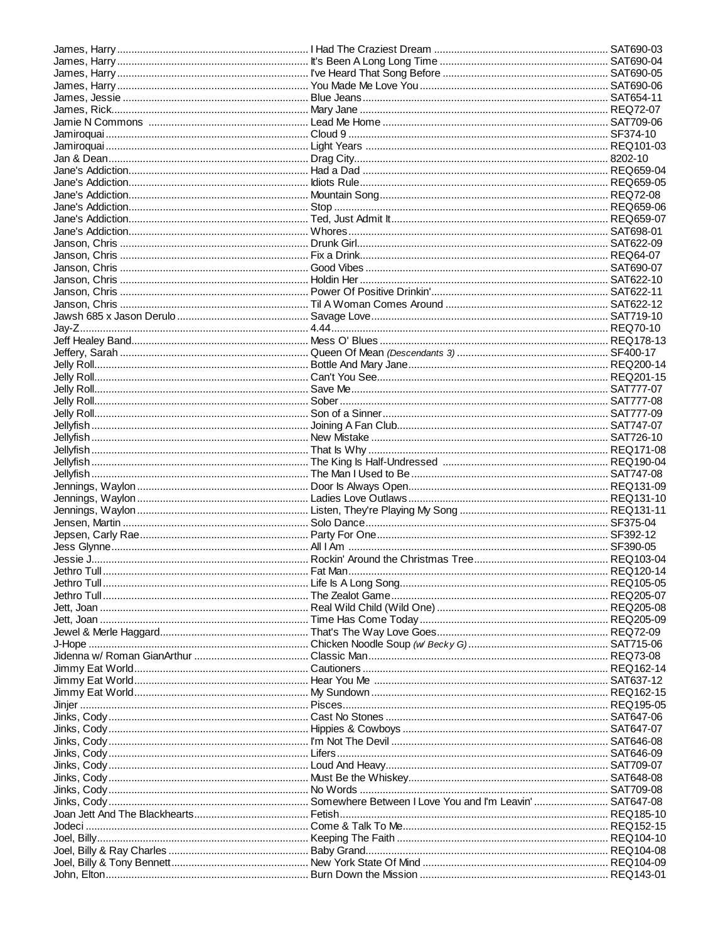| James, Harry ……………………………………………………………… It's Been A Long Long Time …………………………………………………… SAT690-04 |  |
|-------------------------------------------------------------------------------------------------|--|
|                                                                                                 |  |
| James, Harry …………………………………………………………… You Made Me Love You ………………………………………………………… SAT690-06      |  |
|                                                                                                 |  |
|                                                                                                 |  |
|                                                                                                 |  |
|                                                                                                 |  |
|                                                                                                 |  |
|                                                                                                 |  |
|                                                                                                 |  |
|                                                                                                 |  |
|                                                                                                 |  |
|                                                                                                 |  |
|                                                                                                 |  |
|                                                                                                 |  |
|                                                                                                 |  |
|                                                                                                 |  |
|                                                                                                 |  |
|                                                                                                 |  |
|                                                                                                 |  |
|                                                                                                 |  |
|                                                                                                 |  |
|                                                                                                 |  |
|                                                                                                 |  |
|                                                                                                 |  |
|                                                                                                 |  |
|                                                                                                 |  |
|                                                                                                 |  |
|                                                                                                 |  |
|                                                                                                 |  |
|                                                                                                 |  |
|                                                                                                 |  |
|                                                                                                 |  |
|                                                                                                 |  |
|                                                                                                 |  |
|                                                                                                 |  |
|                                                                                                 |  |
|                                                                                                 |  |
|                                                                                                 |  |
|                                                                                                 |  |
|                                                                                                 |  |
|                                                                                                 |  |
|                                                                                                 |  |
|                                                                                                 |  |
|                                                                                                 |  |
|                                                                                                 |  |
|                                                                                                 |  |
|                                                                                                 |  |
|                                                                                                 |  |
|                                                                                                 |  |
|                                                                                                 |  |
|                                                                                                 |  |
|                                                                                                 |  |
|                                                                                                 |  |
|                                                                                                 |  |
|                                                                                                 |  |
|                                                                                                 |  |
|                                                                                                 |  |
|                                                                                                 |  |
| Jinks, Cody…………………………………………………………… Hippies & Cowboys ……………………………………………………………… SAT647-07         |  |
| Jinks, Cody…………………………………………………………… I'm Not The Devil …………………………………………………………………… SAT646-08       |  |
|                                                                                                 |  |
|                                                                                                 |  |
| Jinks, Cody…………………………………………………………… Must Be the Whiskey…………………………………………………………… SAT648-08         |  |
| Jinks, Cody…………………………………………………………… No Words …………………………………………………………………………… SAT709-08             |  |
|                                                                                                 |  |
|                                                                                                 |  |
|                                                                                                 |  |
|                                                                                                 |  |
|                                                                                                 |  |
|                                                                                                 |  |
|                                                                                                 |  |
|                                                                                                 |  |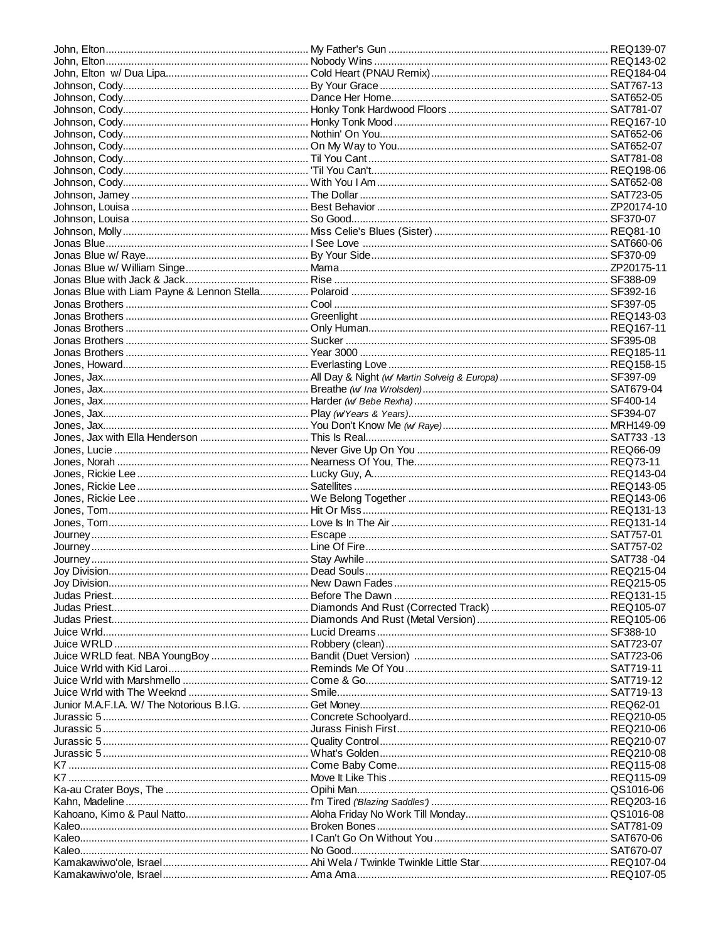| K7 ……………………………………………………………………… Move It Like This …………………………………………………………………… REQ115-09 |  |
|---------------------------------------------------------------------------------------|--|
|                                                                                       |  |
|                                                                                       |  |
|                                                                                       |  |
|                                                                                       |  |
|                                                                                       |  |
|                                                                                       |  |
|                                                                                       |  |
|                                                                                       |  |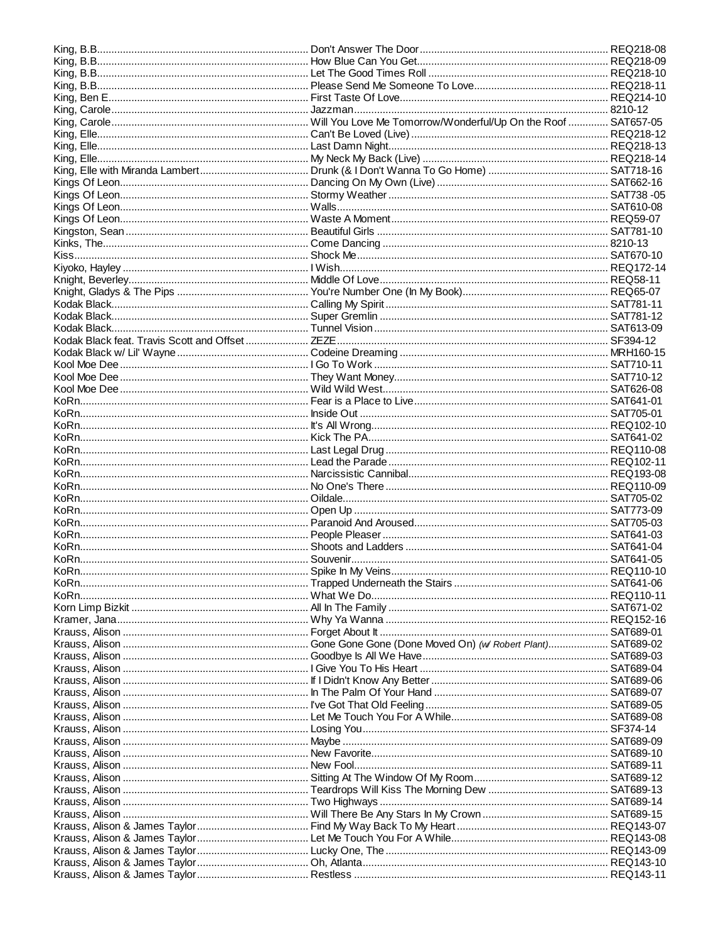| KoRn…………………………………………………………………… Inside Out ……………………………………………………………………………… SAT705-01                 |  |
|----------------------------------------------------------------------------------------------------|--|
|                                                                                                    |  |
|                                                                                                    |  |
|                                                                                                    |  |
|                                                                                                    |  |
|                                                                                                    |  |
|                                                                                                    |  |
|                                                                                                    |  |
|                                                                                                    |  |
|                                                                                                    |  |
|                                                                                                    |  |
|                                                                                                    |  |
|                                                                                                    |  |
|                                                                                                    |  |
|                                                                                                    |  |
|                                                                                                    |  |
|                                                                                                    |  |
|                                                                                                    |  |
|                                                                                                    |  |
|                                                                                                    |  |
|                                                                                                    |  |
|                                                                                                    |  |
|                                                                                                    |  |
|                                                                                                    |  |
|                                                                                                    |  |
|                                                                                                    |  |
|                                                                                                    |  |
|                                                                                                    |  |
|                                                                                                    |  |
|                                                                                                    |  |
|                                                                                                    |  |
| Krauss, Alison ………………………………………………………… New Fool……………………………………………………………………………… SAT689-11             |  |
|                                                                                                    |  |
|                                                                                                    |  |
|                                                                                                    |  |
| Krauss, Alison ………………………………………………………… Will There Be Any Stars In My Crown …………………………………… SAT689-15 |  |
|                                                                                                    |  |
|                                                                                                    |  |
|                                                                                                    |  |
|                                                                                                    |  |
|                                                                                                    |  |
|                                                                                                    |  |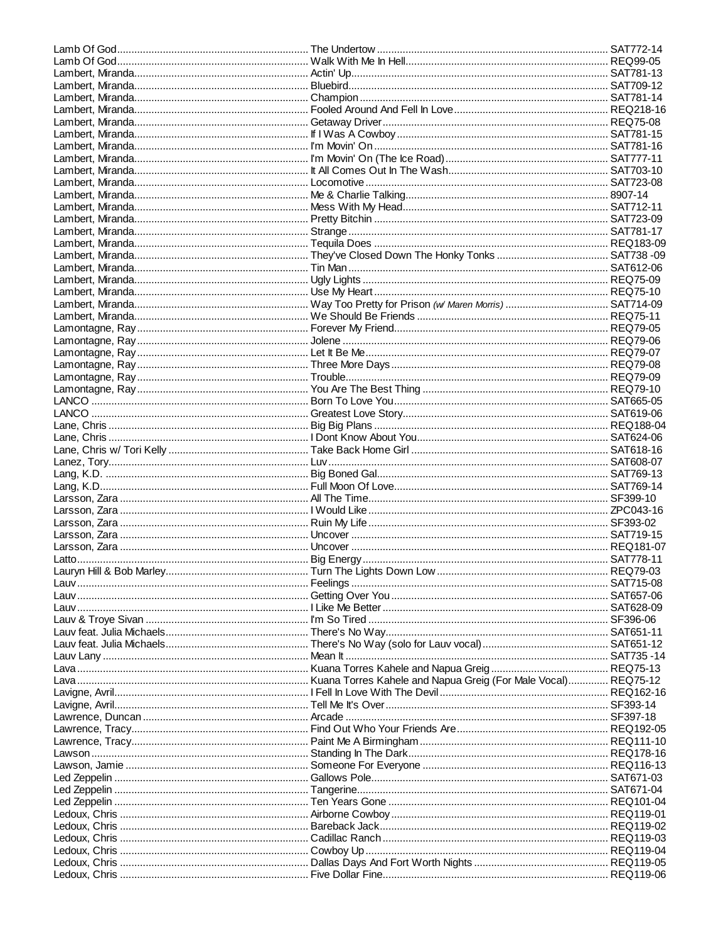| Lauv Lany …………………………………………………………… Mean It …………………………………………………………………………………… SAT735 -14 |  |
|---------------------------------------------------------------------------------------|--|
|                                                                                       |  |
|                                                                                       |  |
|                                                                                       |  |
|                                                                                       |  |
|                                                                                       |  |
|                                                                                       |  |
|                                                                                       |  |
|                                                                                       |  |
|                                                                                       |  |
|                                                                                       |  |
|                                                                                       |  |
|                                                                                       |  |
|                                                                                       |  |
|                                                                                       |  |
|                                                                                       |  |
|                                                                                       |  |
|                                                                                       |  |
|                                                                                       |  |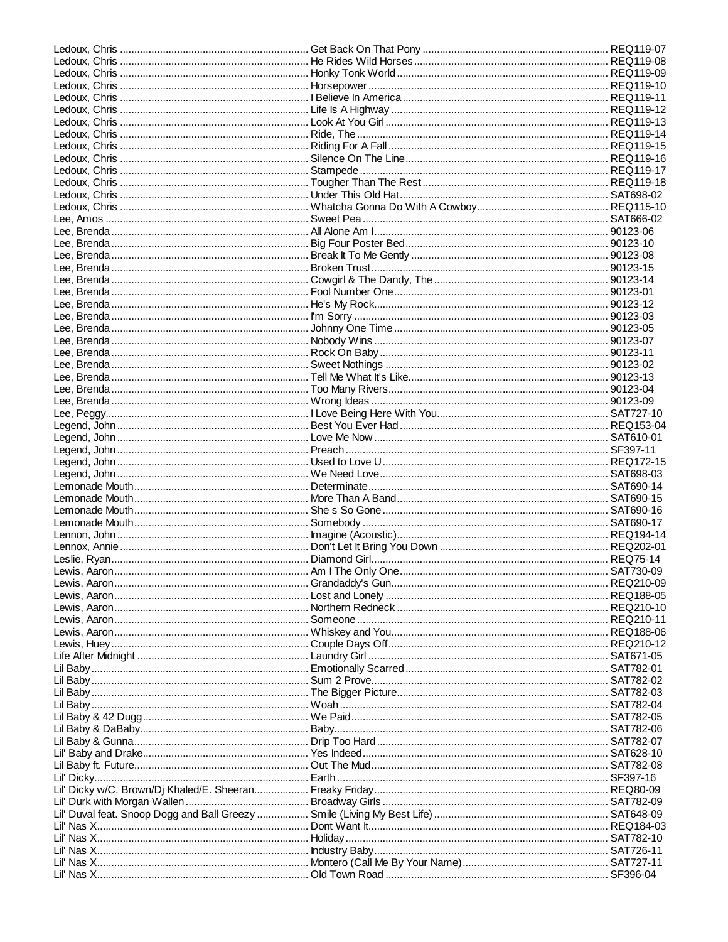| Lil Baby………………………………………………………………… Woah ……………………………………………………………………………………… SAT782-04 |  |
|------------------------------------------------------------------------------------|--|
|                                                                                    |  |
|                                                                                    |  |
|                                                                                    |  |
|                                                                                    |  |
|                                                                                    |  |
|                                                                                    |  |
|                                                                                    |  |
|                                                                                    |  |
|                                                                                    |  |
|                                                                                    |  |
|                                                                                    |  |
|                                                                                    |  |
|                                                                                    |  |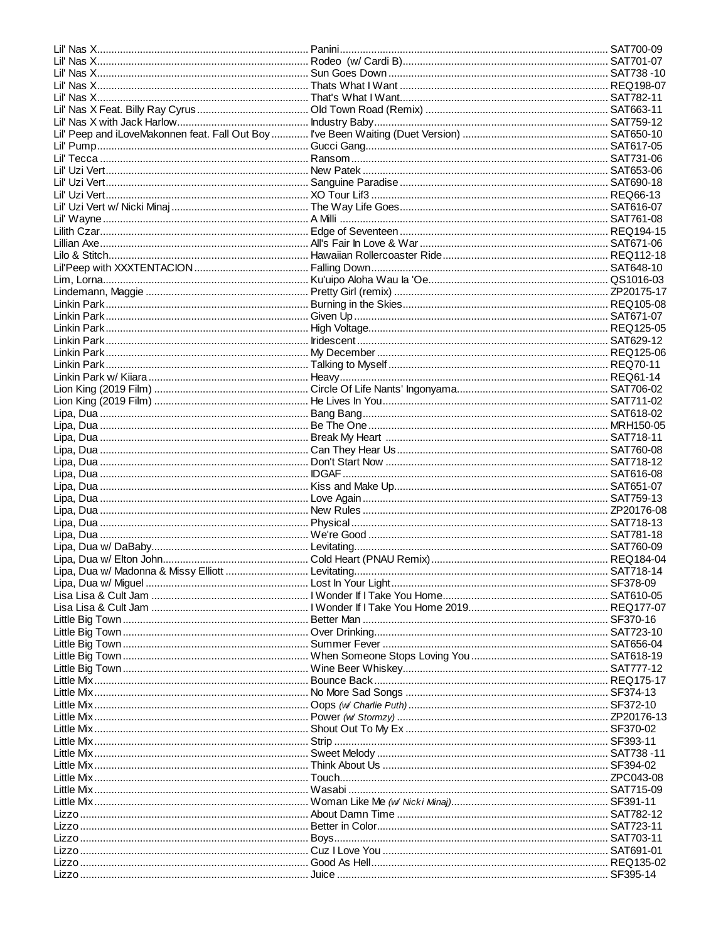| Little Mix………………………………………………………………… Wasabi………………………………………………………………………………… SAT715-09 |  |
|-------------------------------------------------------------------------------------|--|
|                                                                                     |  |
|                                                                                     |  |
|                                                                                     |  |
|                                                                                     |  |
|                                                                                     |  |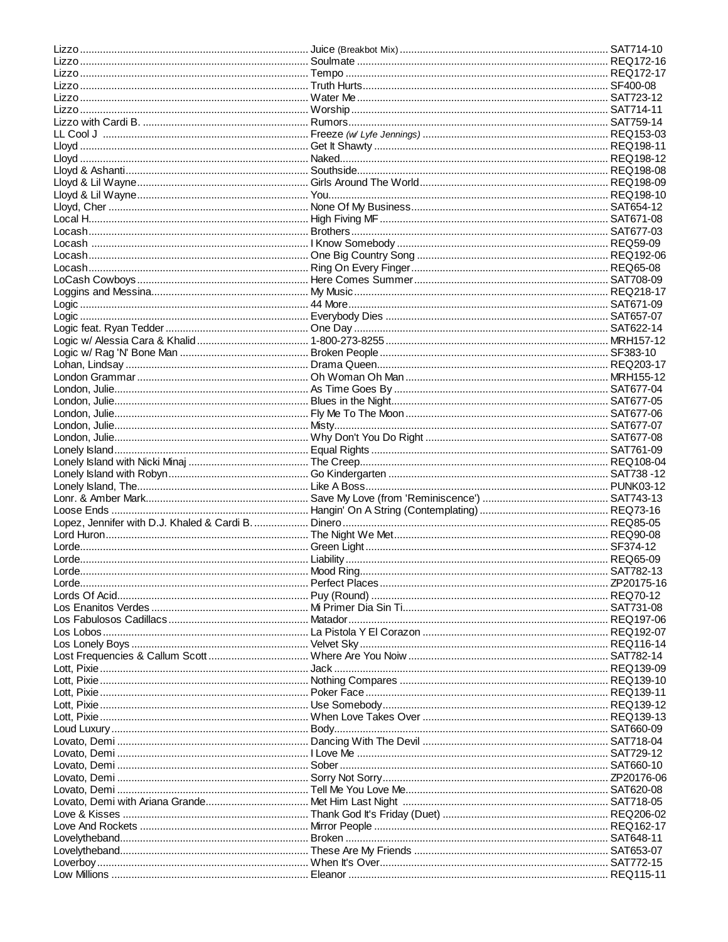| Lloyd, Cher …………………………………………………………… None Of My Business………………………………………………………… SAT654-12 |  |
|-----------------------------------------------------------------------------------------|--|
|                                                                                         |  |
|                                                                                         |  |
|                                                                                         |  |
|                                                                                         |  |
|                                                                                         |  |
|                                                                                         |  |
|                                                                                         |  |
|                                                                                         |  |
|                                                                                         |  |
|                                                                                         |  |
|                                                                                         |  |
|                                                                                         |  |
|                                                                                         |  |
|                                                                                         |  |
|                                                                                         |  |
|                                                                                         |  |
|                                                                                         |  |
|                                                                                         |  |
|                                                                                         |  |
|                                                                                         |  |
|                                                                                         |  |
|                                                                                         |  |
|                                                                                         |  |
|                                                                                         |  |
|                                                                                         |  |
|                                                                                         |  |
|                                                                                         |  |
|                                                                                         |  |
|                                                                                         |  |
|                                                                                         |  |
|                                                                                         |  |
|                                                                                         |  |
|                                                                                         |  |
|                                                                                         |  |
|                                                                                         |  |
|                                                                                         |  |
|                                                                                         |  |
|                                                                                         |  |
|                                                                                         |  |
|                                                                                         |  |
|                                                                                         |  |
|                                                                                         |  |
|                                                                                         |  |
|                                                                                         |  |
|                                                                                         |  |
|                                                                                         |  |
|                                                                                         |  |
|                                                                                         |  |
|                                                                                         |  |
|                                                                                         |  |
|                                                                                         |  |
|                                                                                         |  |
|                                                                                         |  |
|                                                                                         |  |
|                                                                                         |  |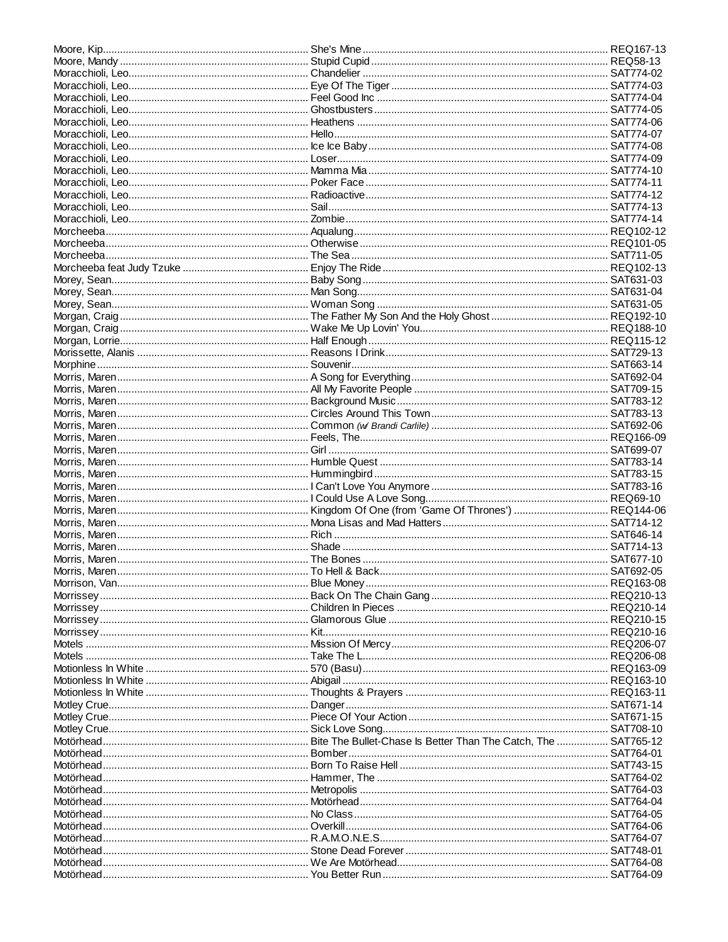| Motörhead……………………………………………………………… No Class ………………………………………………………………………………… SAT764-05 |  |
|--------------------------------------------------------------------------------------|--|
|                                                                                      |  |
|                                                                                      |  |
|                                                                                      |  |
|                                                                                      |  |
|                                                                                      |  |
|                                                                                      |  |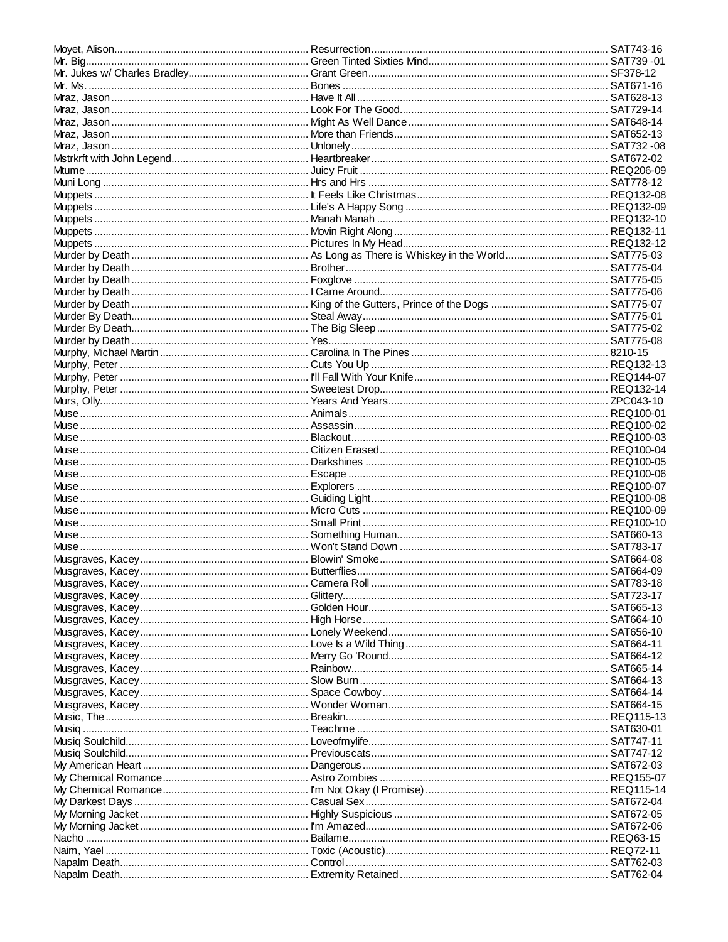| Mraz, Jason…………………………………………………………… Unlonely……………………………………………………………………………… SAT732 -08  |  |
|---------------------------------------------------------------------------------------|--|
|                                                                                       |  |
|                                                                                       |  |
|                                                                                       |  |
|                                                                                       |  |
|                                                                                       |  |
|                                                                                       |  |
|                                                                                       |  |
|                                                                                       |  |
|                                                                                       |  |
|                                                                                       |  |
|                                                                                       |  |
|                                                                                       |  |
|                                                                                       |  |
|                                                                                       |  |
|                                                                                       |  |
|                                                                                       |  |
|                                                                                       |  |
|                                                                                       |  |
|                                                                                       |  |
|                                                                                       |  |
|                                                                                       |  |
|                                                                                       |  |
|                                                                                       |  |
|                                                                                       |  |
|                                                                                       |  |
|                                                                                       |  |
|                                                                                       |  |
|                                                                                       |  |
|                                                                                       |  |
|                                                                                       |  |
|                                                                                       |  |
|                                                                                       |  |
|                                                                                       |  |
|                                                                                       |  |
|                                                                                       |  |
| Muse ……………………………………………………………………… Won't Stand Down ………………………………………………………………… SAT783-17 |  |
|                                                                                       |  |
|                                                                                       |  |
|                                                                                       |  |
|                                                                                       |  |
|                                                                                       |  |
|                                                                                       |  |
|                                                                                       |  |
|                                                                                       |  |
|                                                                                       |  |
|                                                                                       |  |
|                                                                                       |  |
|                                                                                       |  |
|                                                                                       |  |
|                                                                                       |  |
|                                                                                       |  |
|                                                                                       |  |
|                                                                                       |  |
|                                                                                       |  |
|                                                                                       |  |
|                                                                                       |  |
|                                                                                       |  |
|                                                                                       |  |
|                                                                                       |  |
|                                                                                       |  |
|                                                                                       |  |
|                                                                                       |  |
|                                                                                       |  |
|                                                                                       |  |
|                                                                                       |  |
|                                                                                       |  |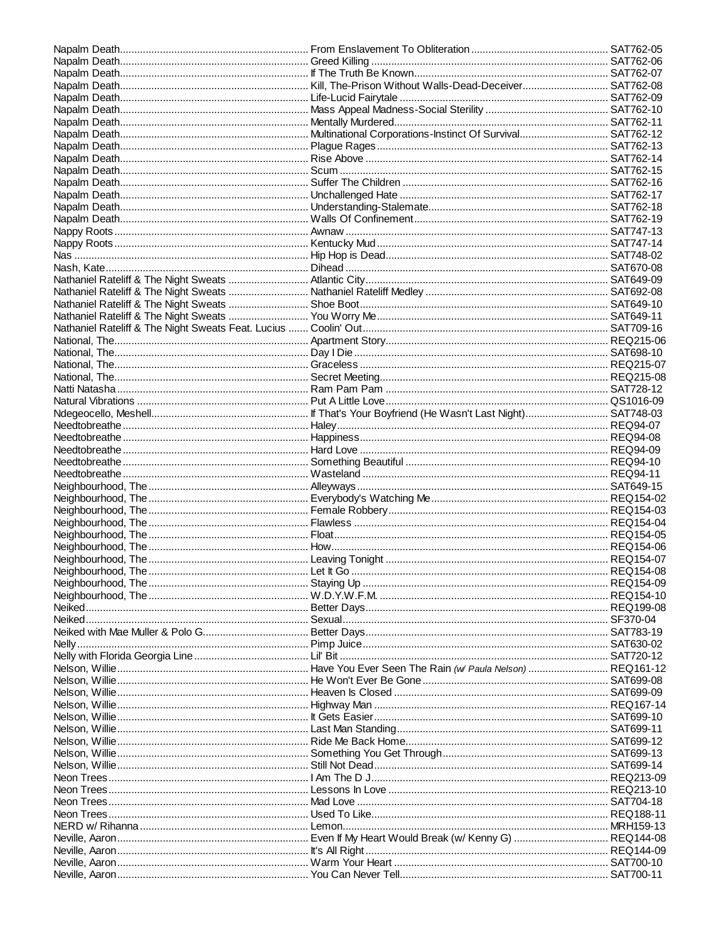| Neon Trees……………………………………………………………… Mad Love ……………………………………………………………………………… SAT704-18 |  |
|--------------------------------------------------------------------------------------|--|
| Neon Trees…………………………………………………………… Used To Like………………………………………………………………………… REQ188-11 |  |
|                                                                                      |  |
|                                                                                      |  |
|                                                                                      |  |
|                                                                                      |  |
|                                                                                      |  |
|                                                                                      |  |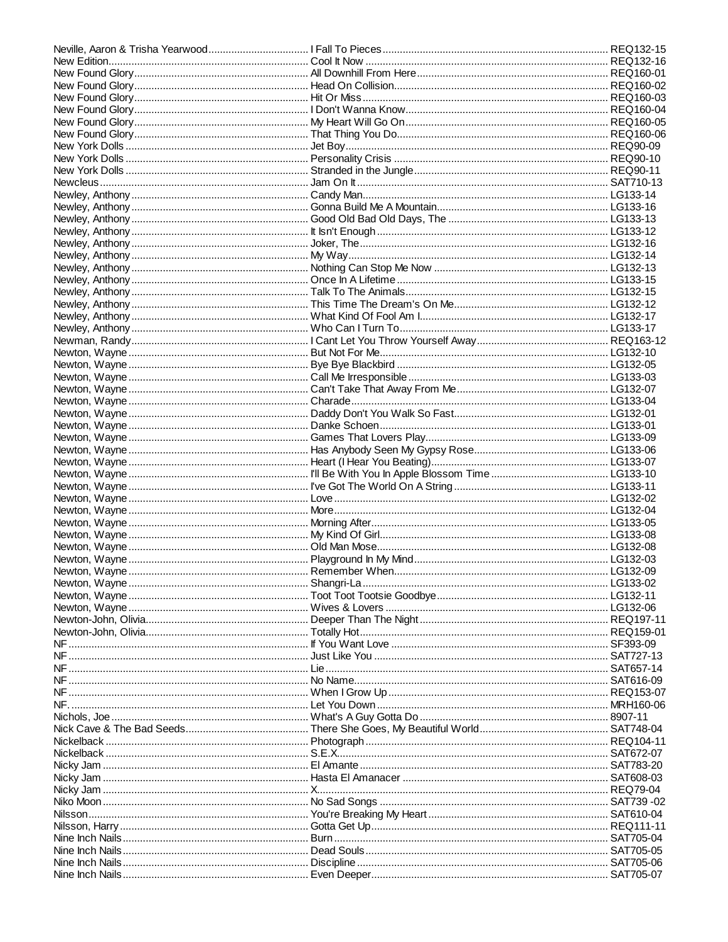| NF ……………………………………………………………………………………Just Like You …………………………………………………………………………………SAT727-13 |  |
|-------------------------------------------------------------------------------------------|--|
|                                                                                           |  |
| NF ……………………………………………………………………… No Name…………………………………………………………………………… SAT616-09             |  |
|                                                                                           |  |
|                                                                                           |  |
|                                                                                           |  |
|                                                                                           |  |
|                                                                                           |  |
|                                                                                           |  |
|                                                                                           |  |
|                                                                                           |  |
|                                                                                           |  |
|                                                                                           |  |
| Niko Moon ……………………………………………………………… No Sad Songs ……………………………………………………………………… SAT739 -02    |  |
|                                                                                           |  |
|                                                                                           |  |
|                                                                                           |  |
|                                                                                           |  |
|                                                                                           |  |
|                                                                                           |  |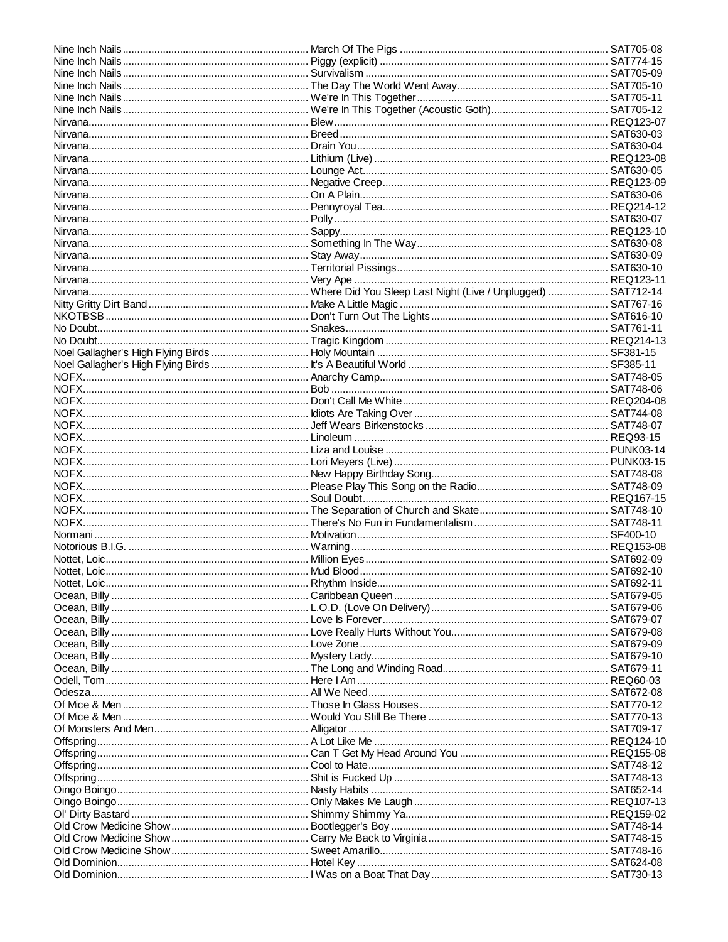| Normani …………………………………………………………………………… Motivation…………………………………………………………………………………… SF400-10 |  |
|-------------------------------------------------------------------------------------------|--|
|                                                                                           |  |
|                                                                                           |  |
|                                                                                           |  |
|                                                                                           |  |
|                                                                                           |  |
|                                                                                           |  |
|                                                                                           |  |
|                                                                                           |  |
|                                                                                           |  |
|                                                                                           |  |
|                                                                                           |  |
|                                                                                           |  |
|                                                                                           |  |
|                                                                                           |  |
|                                                                                           |  |
|                                                                                           |  |
|                                                                                           |  |
|                                                                                           |  |
|                                                                                           |  |
|                                                                                           |  |
|                                                                                           |  |
|                                                                                           |  |
|                                                                                           |  |
|                                                                                           |  |
|                                                                                           |  |
|                                                                                           |  |
|                                                                                           |  |
|                                                                                           |  |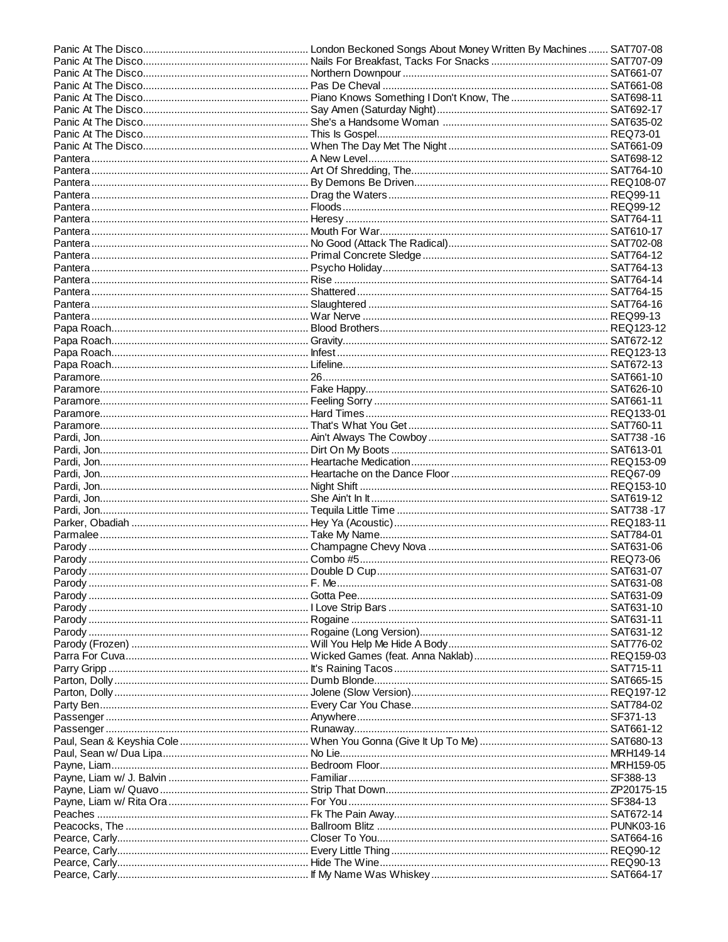| Parody ………………………………………………………………………………………Double D Cup……………………………………………………………………………………SAT631-07 |  |
|-----------------------------------------------------------------------------------------------|--|
|                                                                                               |  |
|                                                                                               |  |
|                                                                                               |  |
|                                                                                               |  |
|                                                                                               |  |
|                                                                                               |  |
|                                                                                               |  |
|                                                                                               |  |
|                                                                                               |  |
|                                                                                               |  |
|                                                                                               |  |
|                                                                                               |  |
|                                                                                               |  |
|                                                                                               |  |
|                                                                                               |  |
|                                                                                               |  |
|                                                                                               |  |
|                                                                                               |  |
|                                                                                               |  |
|                                                                                               |  |
|                                                                                               |  |
|                                                                                               |  |
|                                                                                               |  |
|                                                                                               |  |
|                                                                                               |  |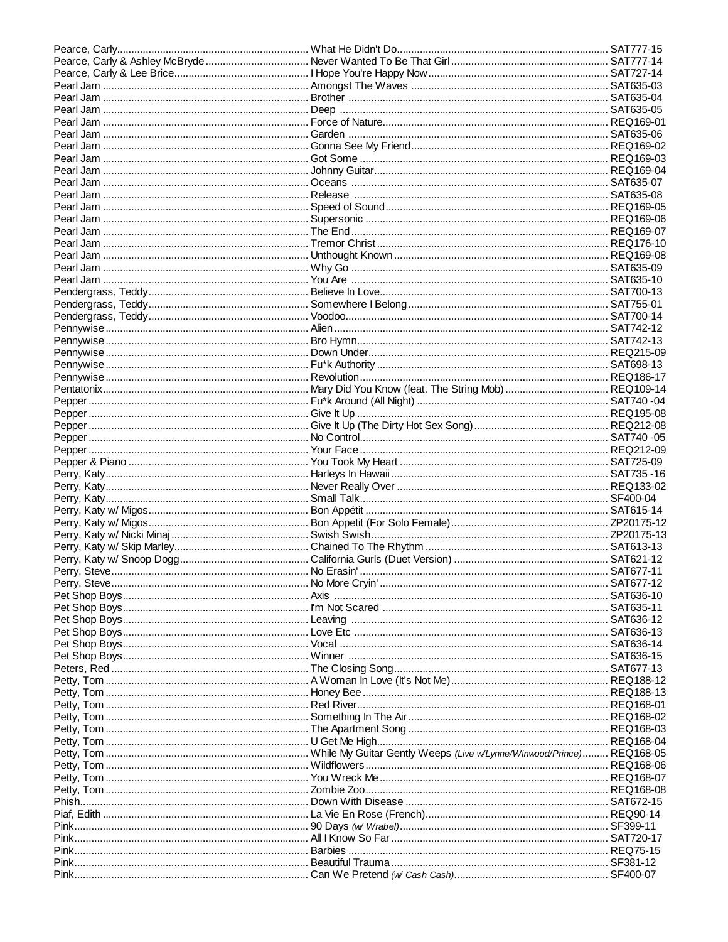| Pet Shop Boys……………………………………………………… Love Etc ……………………………………………………………………………… SAT636-13 |  |
|--------------------------------------------------------------------------------------|--|
|                                                                                      |  |
|                                                                                      |  |
|                                                                                      |  |
|                                                                                      |  |
|                                                                                      |  |
|                                                                                      |  |
|                                                                                      |  |
|                                                                                      |  |
|                                                                                      |  |
|                                                                                      |  |
|                                                                                      |  |
|                                                                                      |  |
|                                                                                      |  |
|                                                                                      |  |
|                                                                                      |  |
|                                                                                      |  |
|                                                                                      |  |
|                                                                                      |  |
|                                                                                      |  |
|                                                                                      |  |
|                                                                                      |  |
|                                                                                      |  |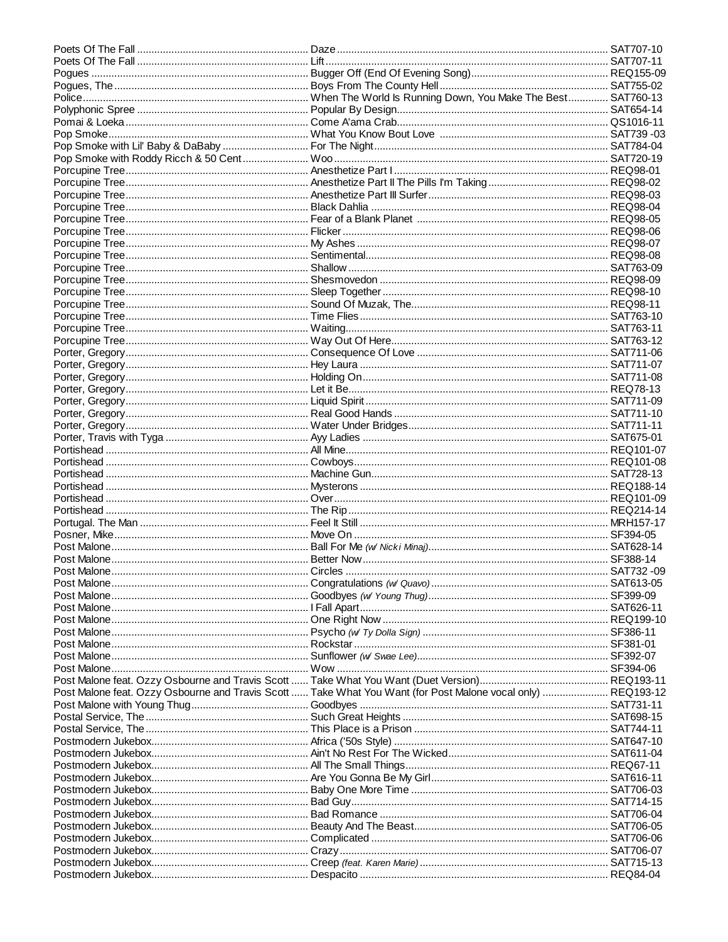| Post Malone feat. Ozzy Osbourne and Travis Scott  Take What You Want (for Post Malone vocal only)  REQ193-12 |  |
|--------------------------------------------------------------------------------------------------------------|--|
|                                                                                                              |  |
|                                                                                                              |  |
|                                                                                                              |  |
|                                                                                                              |  |
|                                                                                                              |  |
|                                                                                                              |  |
|                                                                                                              |  |
|                                                                                                              |  |
|                                                                                                              |  |
|                                                                                                              |  |
|                                                                                                              |  |
|                                                                                                              |  |
|                                                                                                              |  |
|                                                                                                              |  |
|                                                                                                              |  |
|                                                                                                              |  |
|                                                                                                              |  |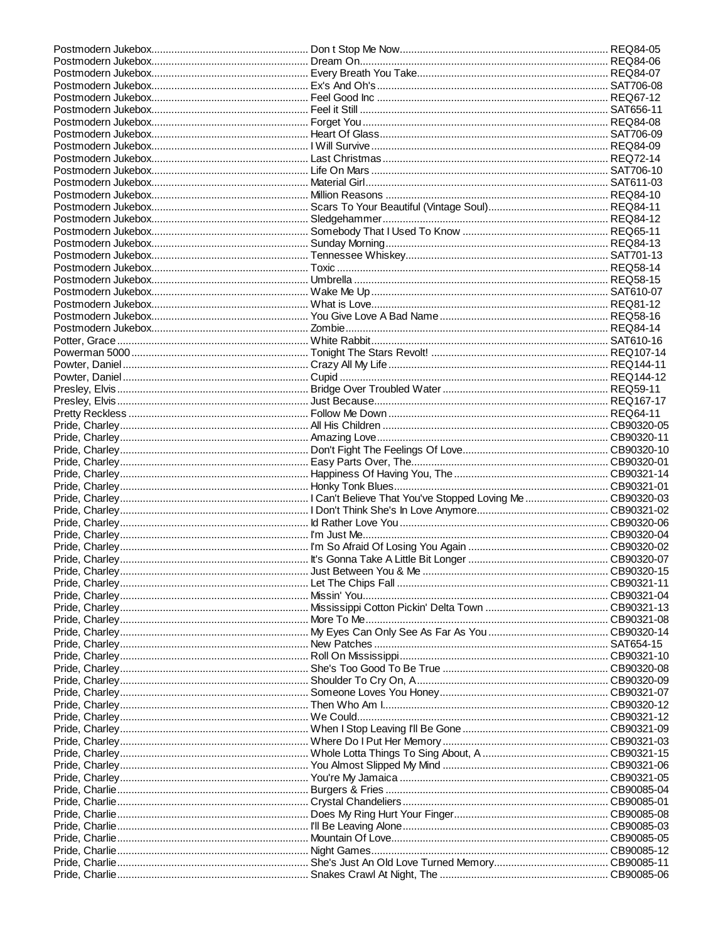| Pride, Charley…………………………………………………………… Missin' You………………………………………………………………………………… CB90321-04 |  |  |
|---------------------------------------------------------------------------------------------|--|--|
|                                                                                             |  |  |
|                                                                                             |  |  |
|                                                                                             |  |  |
|                                                                                             |  |  |
|                                                                                             |  |  |
|                                                                                             |  |  |
|                                                                                             |  |  |
|                                                                                             |  |  |
|                                                                                             |  |  |
|                                                                                             |  |  |
|                                                                                             |  |  |
|                                                                                             |  |  |
|                                                                                             |  |  |
|                                                                                             |  |  |
|                                                                                             |  |  |
|                                                                                             |  |  |
|                                                                                             |  |  |
|                                                                                             |  |  |
|                                                                                             |  |  |
|                                                                                             |  |  |
|                                                                                             |  |  |
|                                                                                             |  |  |
|                                                                                             |  |  |
|                                                                                             |  |  |
|                                                                                             |  |  |
|                                                                                             |  |  |
|                                                                                             |  |  |
|                                                                                             |  |  |
|                                                                                             |  |  |
|                                                                                             |  |  |
|                                                                                             |  |  |
|                                                                                             |  |  |
|                                                                                             |  |  |
|                                                                                             |  |  |
|                                                                                             |  |  |
|                                                                                             |  |  |
|                                                                                             |  |  |
|                                                                                             |  |  |
|                                                                                             |  |  |
|                                                                                             |  |  |
|                                                                                             |  |  |
|                                                                                             |  |  |
|                                                                                             |  |  |
|                                                                                             |  |  |
|                                                                                             |  |  |
|                                                                                             |  |  |
|                                                                                             |  |  |
|                                                                                             |  |  |
|                                                                                             |  |  |
|                                                                                             |  |  |
|                                                                                             |  |  |
|                                                                                             |  |  |
|                                                                                             |  |  |
|                                                                                             |  |  |
|                                                                                             |  |  |
|                                                                                             |  |  |
|                                                                                             |  |  |
|                                                                                             |  |  |
|                                                                                             |  |  |
|                                                                                             |  |  |
|                                                                                             |  |  |
|                                                                                             |  |  |
|                                                                                             |  |  |
|                                                                                             |  |  |
|                                                                                             |  |  |
|                                                                                             |  |  |
|                                                                                             |  |  |
|                                                                                             |  |  |
|                                                                                             |  |  |
|                                                                                             |  |  |
|                                                                                             |  |  |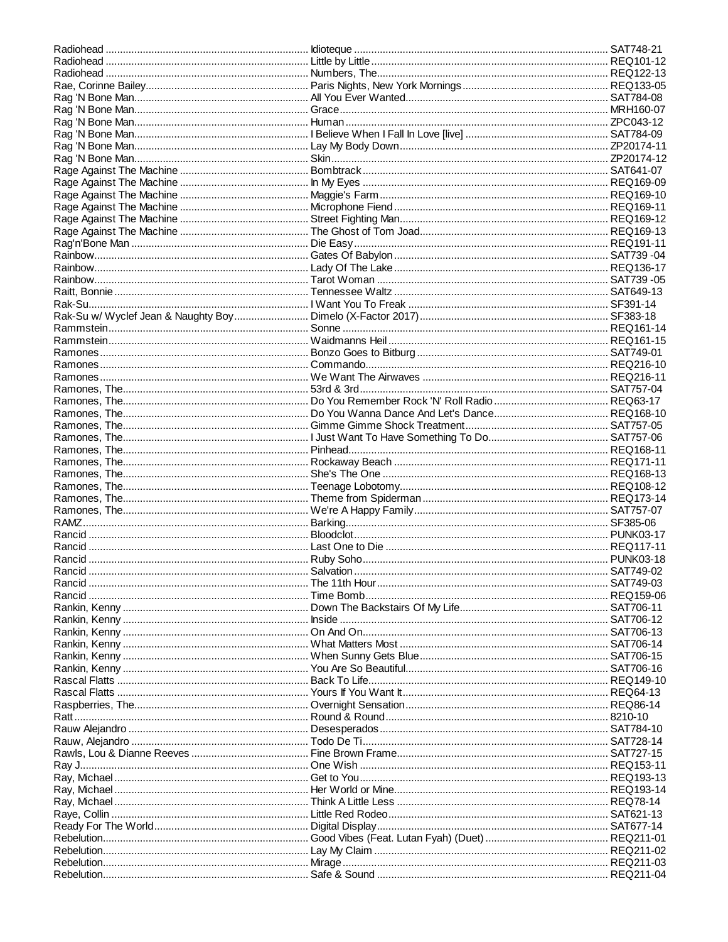| Rankin, Kenny ………………………………………………………… When Sunny Gets Blue ………………………………………………………… SAT706-15 |  |
|--------------------------------------------------------------------------------------------|--|
|                                                                                            |  |
|                                                                                            |  |
|                                                                                            |  |
|                                                                                            |  |
|                                                                                            |  |
|                                                                                            |  |
|                                                                                            |  |
|                                                                                            |  |
|                                                                                            |  |
|                                                                                            |  |
|                                                                                            |  |
|                                                                                            |  |
|                                                                                            |  |
|                                                                                            |  |
|                                                                                            |  |
|                                                                                            |  |
|                                                                                            |  |
|                                                                                            |  |
|                                                                                            |  |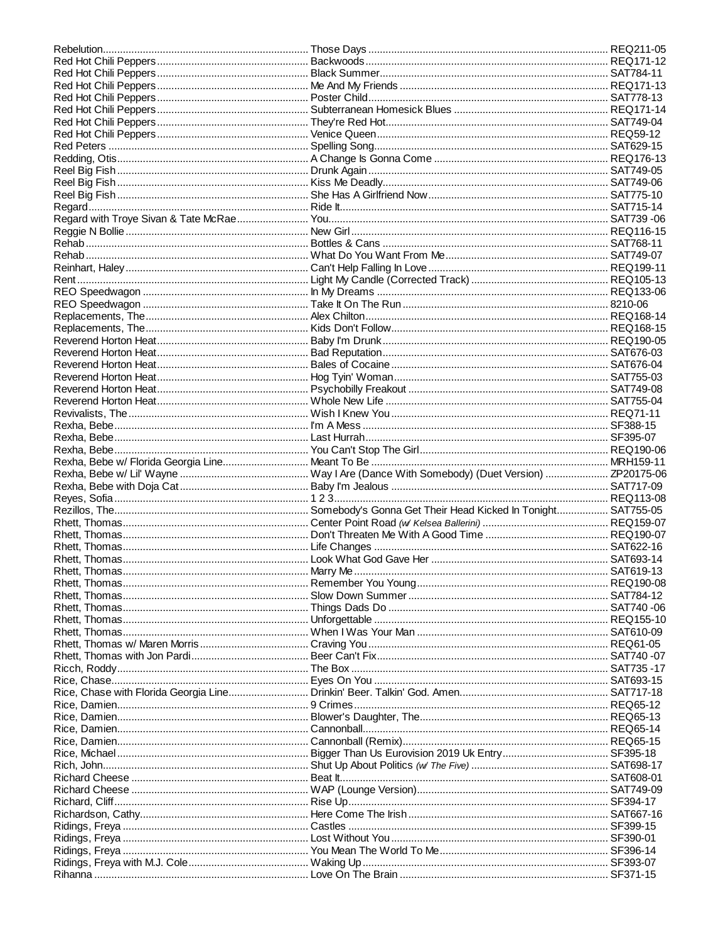| Reggie N Bollie ……………………………………………………… New Girl ……………………………………………………………………………………… REQ116-15 |  |
|--------------------------------------------------------------------------------------------|--|
|                                                                                            |  |
|                                                                                            |  |
|                                                                                            |  |
|                                                                                            |  |
|                                                                                            |  |
|                                                                                            |  |
|                                                                                            |  |
|                                                                                            |  |
|                                                                                            |  |
|                                                                                            |  |
|                                                                                            |  |
|                                                                                            |  |
|                                                                                            |  |
|                                                                                            |  |
|                                                                                            |  |
|                                                                                            |  |
|                                                                                            |  |
|                                                                                            |  |
|                                                                                            |  |
|                                                                                            |  |
|                                                                                            |  |
|                                                                                            |  |
|                                                                                            |  |
|                                                                                            |  |
|                                                                                            |  |
|                                                                                            |  |
|                                                                                            |  |
|                                                                                            |  |
|                                                                                            |  |
|                                                                                            |  |
|                                                                                            |  |
|                                                                                            |  |
|                                                                                            |  |
|                                                                                            |  |
|                                                                                            |  |
|                                                                                            |  |
|                                                                                            |  |
|                                                                                            |  |
|                                                                                            |  |
|                                                                                            |  |
|                                                                                            |  |
|                                                                                            |  |
|                                                                                            |  |
|                                                                                            |  |
|                                                                                            |  |
|                                                                                            |  |
|                                                                                            |  |
|                                                                                            |  |
|                                                                                            |  |
|                                                                                            |  |
|                                                                                            |  |
|                                                                                            |  |
|                                                                                            |  |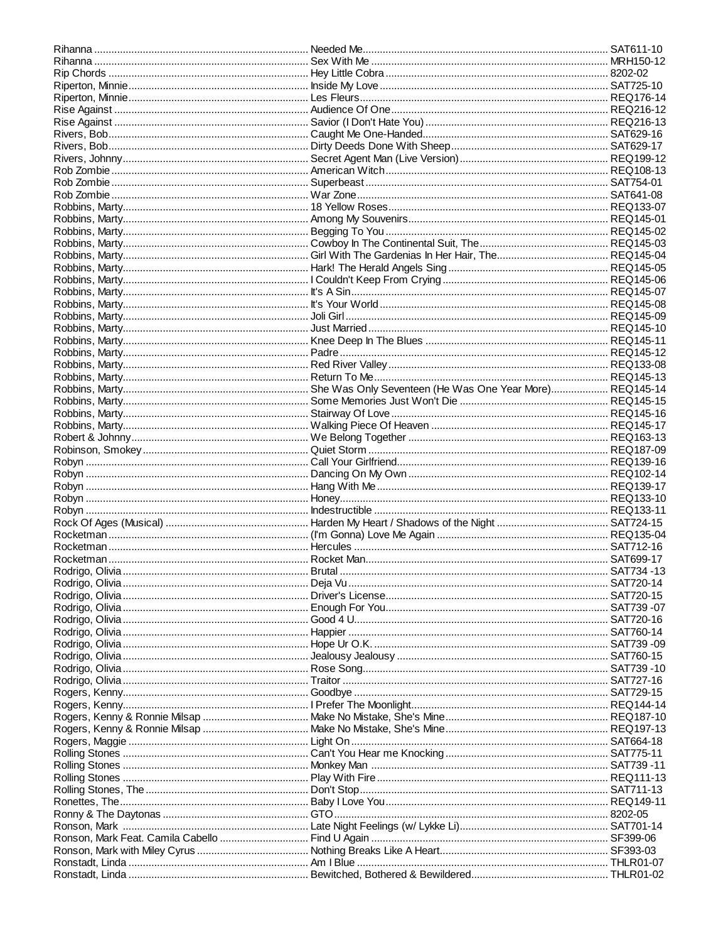| Rihanna ………………………………………………………………… Needed Me…………………………………………………………………………… SAT611-10 |  |
|------------------------------------------------------------------------------------|--|
|                                                                                    |  |
|                                                                                    |  |
|                                                                                    |  |
|                                                                                    |  |
|                                                                                    |  |
|                                                                                    |  |
|                                                                                    |  |
|                                                                                    |  |
|                                                                                    |  |
|                                                                                    |  |
|                                                                                    |  |
|                                                                                    |  |
|                                                                                    |  |
|                                                                                    |  |
|                                                                                    |  |
|                                                                                    |  |
|                                                                                    |  |
|                                                                                    |  |
|                                                                                    |  |
|                                                                                    |  |
|                                                                                    |  |
|                                                                                    |  |
|                                                                                    |  |
|                                                                                    |  |
|                                                                                    |  |
|                                                                                    |  |
|                                                                                    |  |
|                                                                                    |  |
|                                                                                    |  |
|                                                                                    |  |
|                                                                                    |  |
|                                                                                    |  |
|                                                                                    |  |
|                                                                                    |  |
|                                                                                    |  |
|                                                                                    |  |
|                                                                                    |  |
|                                                                                    |  |
|                                                                                    |  |
|                                                                                    |  |
|                                                                                    |  |
|                                                                                    |  |
|                                                                                    |  |
|                                                                                    |  |
|                                                                                    |  |
|                                                                                    |  |
|                                                                                    |  |
|                                                                                    |  |
|                                                                                    |  |
|                                                                                    |  |
|                                                                                    |  |
|                                                                                    |  |
|                                                                                    |  |
|                                                                                    |  |
|                                                                                    |  |
|                                                                                    |  |
|                                                                                    |  |
|                                                                                    |  |
|                                                                                    |  |
|                                                                                    |  |
|                                                                                    |  |
|                                                                                    |  |
|                                                                                    |  |
|                                                                                    |  |
|                                                                                    |  |
|                                                                                    |  |
|                                                                                    |  |
|                                                                                    |  |
|                                                                                    |  |
|                                                                                    |  |
|                                                                                    |  |
|                                                                                    |  |
|                                                                                    |  |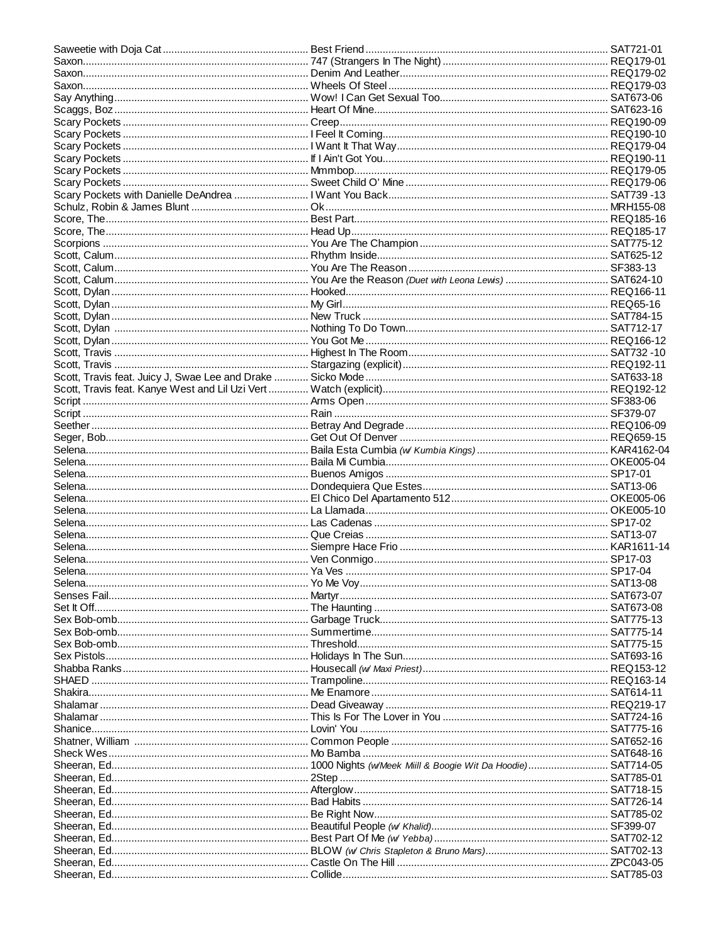| Shatner, William …………………………………………………………………Common People …………………………………………………………………………SAT652-16 |  |
|-----------------------------------------------------------------------------------------------|--|
| Sheck Wes…………………………………………………………… Mo Bamba …………………………………………………………………………… SAT648-16             |  |
|                                                                                               |  |
|                                                                                               |  |
|                                                                                               |  |
|                                                                                               |  |
|                                                                                               |  |
|                                                                                               |  |
|                                                                                               |  |
|                                                                                               |  |
|                                                                                               |  |
|                                                                                               |  |
|                                                                                               |  |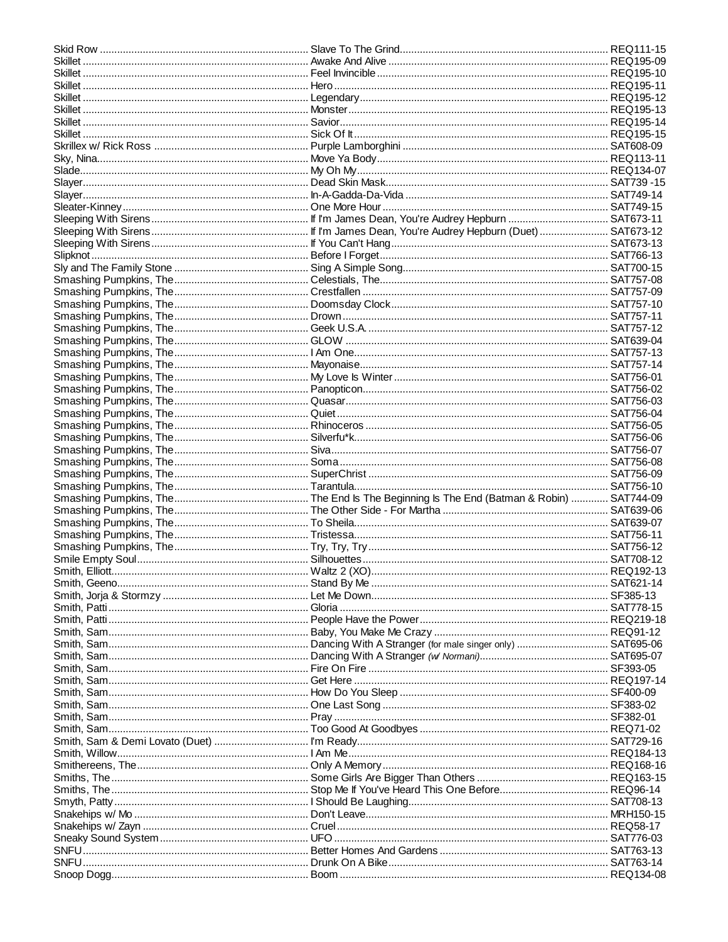| Skillet ………………………………………………………………… Monster………………………………………………………………………………… REQ195-13 |  |
|------------------------------------------------------------------------------------|--|
|                                                                                    |  |
|                                                                                    |  |
|                                                                                    |  |
|                                                                                    |  |
|                                                                                    |  |
|                                                                                    |  |
|                                                                                    |  |
|                                                                                    |  |
|                                                                                    |  |
|                                                                                    |  |
|                                                                                    |  |
|                                                                                    |  |
|                                                                                    |  |
|                                                                                    |  |
|                                                                                    |  |
|                                                                                    |  |
|                                                                                    |  |
|                                                                                    |  |
|                                                                                    |  |
|                                                                                    |  |
|                                                                                    |  |
|                                                                                    |  |
|                                                                                    |  |
|                                                                                    |  |
|                                                                                    |  |
|                                                                                    |  |
|                                                                                    |  |
|                                                                                    |  |
|                                                                                    |  |
|                                                                                    |  |
|                                                                                    |  |
|                                                                                    |  |
|                                                                                    |  |
|                                                                                    |  |
|                                                                                    |  |
|                                                                                    |  |
|                                                                                    |  |
|                                                                                    |  |
|                                                                                    |  |
|                                                                                    |  |
|                                                                                    |  |
|                                                                                    |  |
|                                                                                    |  |
|                                                                                    |  |
|                                                                                    |  |
|                                                                                    |  |
|                                                                                    |  |
|                                                                                    |  |
|                                                                                    |  |
|                                                                                    |  |
|                                                                                    |  |
|                                                                                    |  |
|                                                                                    |  |
|                                                                                    |  |
|                                                                                    |  |
|                                                                                    |  |
|                                                                                    |  |
|                                                                                    |  |
|                                                                                    |  |
|                                                                                    |  |
|                                                                                    |  |
|                                                                                    |  |
|                                                                                    |  |
|                                                                                    |  |
|                                                                                    |  |
|                                                                                    |  |
|                                                                                    |  |
|                                                                                    |  |
|                                                                                    |  |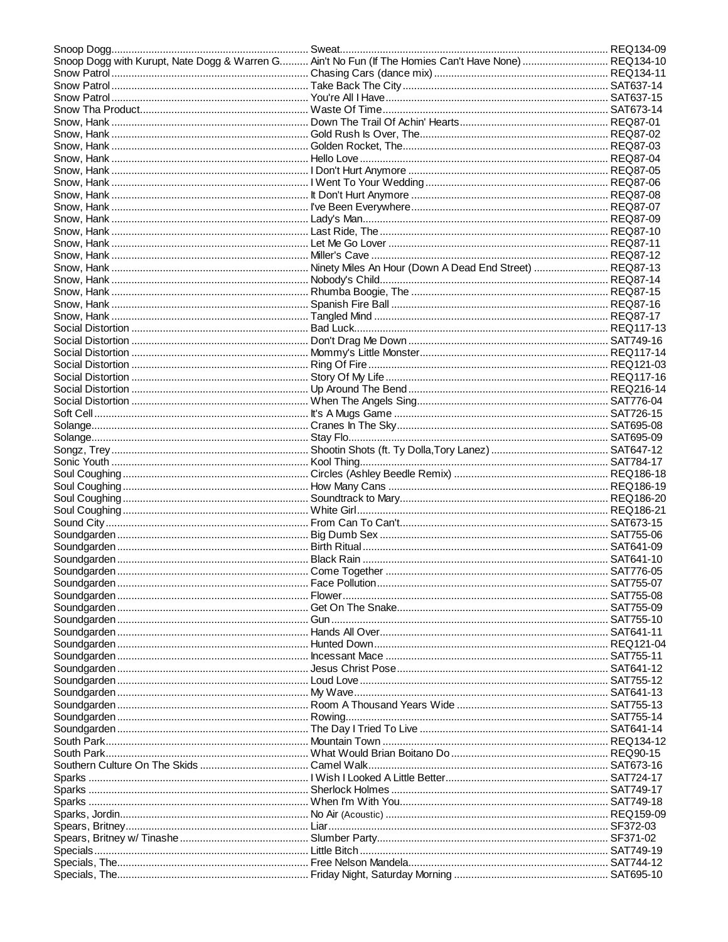| Snoop Dogg with Kurupt, Nate Dogg & Warren G Ain't No Fun (If The Homies Can't Have None)  REQ134-10 |  |
|------------------------------------------------------------------------------------------------------|--|
|                                                                                                      |  |
|                                                                                                      |  |
|                                                                                                      |  |
|                                                                                                      |  |
|                                                                                                      |  |
|                                                                                                      |  |
|                                                                                                      |  |
|                                                                                                      |  |
|                                                                                                      |  |
|                                                                                                      |  |
|                                                                                                      |  |
|                                                                                                      |  |
|                                                                                                      |  |
|                                                                                                      |  |
|                                                                                                      |  |
|                                                                                                      |  |
|                                                                                                      |  |
|                                                                                                      |  |
|                                                                                                      |  |
|                                                                                                      |  |
|                                                                                                      |  |
|                                                                                                      |  |
|                                                                                                      |  |
|                                                                                                      |  |
|                                                                                                      |  |
|                                                                                                      |  |
|                                                                                                      |  |
|                                                                                                      |  |
|                                                                                                      |  |
|                                                                                                      |  |
|                                                                                                      |  |
|                                                                                                      |  |
|                                                                                                      |  |
|                                                                                                      |  |
|                                                                                                      |  |
|                                                                                                      |  |
|                                                                                                      |  |
|                                                                                                      |  |
|                                                                                                      |  |
|                                                                                                      |  |
|                                                                                                      |  |
|                                                                                                      |  |
|                                                                                                      |  |
|                                                                                                      |  |
|                                                                                                      |  |
|                                                                                                      |  |
|                                                                                                      |  |
|                                                                                                      |  |
|                                                                                                      |  |
|                                                                                                      |  |
|                                                                                                      |  |
|                                                                                                      |  |
|                                                                                                      |  |
|                                                                                                      |  |
|                                                                                                      |  |
|                                                                                                      |  |
|                                                                                                      |  |
|                                                                                                      |  |
|                                                                                                      |  |
|                                                                                                      |  |
|                                                                                                      |  |
|                                                                                                      |  |
|                                                                                                      |  |
|                                                                                                      |  |
|                                                                                                      |  |
|                                                                                                      |  |
|                                                                                                      |  |
|                                                                                                      |  |
|                                                                                                      |  |
|                                                                                                      |  |
|                                                                                                      |  |
|                                                                                                      |  |
|                                                                                                      |  |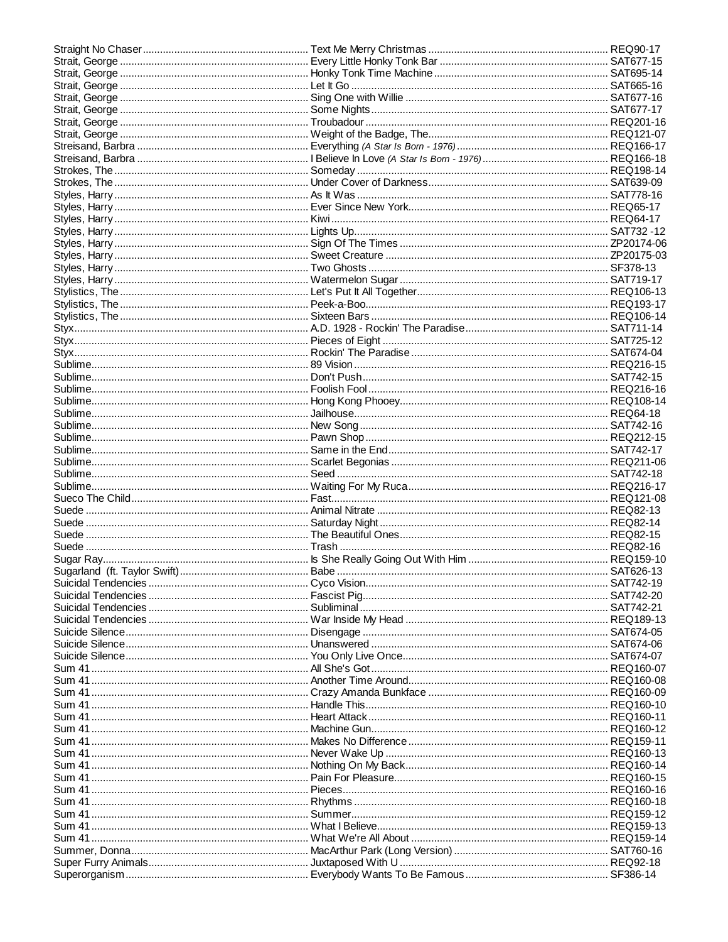| Sum 41 ……………………………………………………………… Makes No Difference …………………………………………………………… REQ159-11 |  |
|---------------------------------------------------------------------------------------|--|
|                                                                                       |  |
|                                                                                       |  |
|                                                                                       |  |
|                                                                                       |  |
|                                                                                       |  |
|                                                                                       |  |
|                                                                                       |  |
|                                                                                       |  |
|                                                                                       |  |
|                                                                                       |  |
|                                                                                       |  |
|                                                                                       |  |
|                                                                                       |  |
|                                                                                       |  |
|                                                                                       |  |
|                                                                                       |  |
|                                                                                       |  |
|                                                                                       |  |
|                                                                                       |  |
|                                                                                       |  |
|                                                                                       |  |
|                                                                                       |  |
|                                                                                       |  |
|                                                                                       |  |
|                                                                                       |  |
|                                                                                       |  |
|                                                                                       |  |
|                                                                                       |  |
|                                                                                       |  |
|                                                                                       |  |
|                                                                                       |  |
|                                                                                       |  |
|                                                                                       |  |
|                                                                                       |  |
|                                                                                       |  |
|                                                                                       |  |
|                                                                                       |  |
|                                                                                       |  |
|                                                                                       |  |
|                                                                                       |  |
|                                                                                       |  |
|                                                                                       |  |
|                                                                                       |  |
|                                                                                       |  |
|                                                                                       |  |
|                                                                                       |  |
|                                                                                       |  |
|                                                                                       |  |
|                                                                                       |  |
|                                                                                       |  |
|                                                                                       |  |
|                                                                                       |  |
|                                                                                       |  |
|                                                                                       |  |
|                                                                                       |  |
|                                                                                       |  |
|                                                                                       |  |
|                                                                                       |  |
|                                                                                       |  |
|                                                                                       |  |
|                                                                                       |  |
|                                                                                       |  |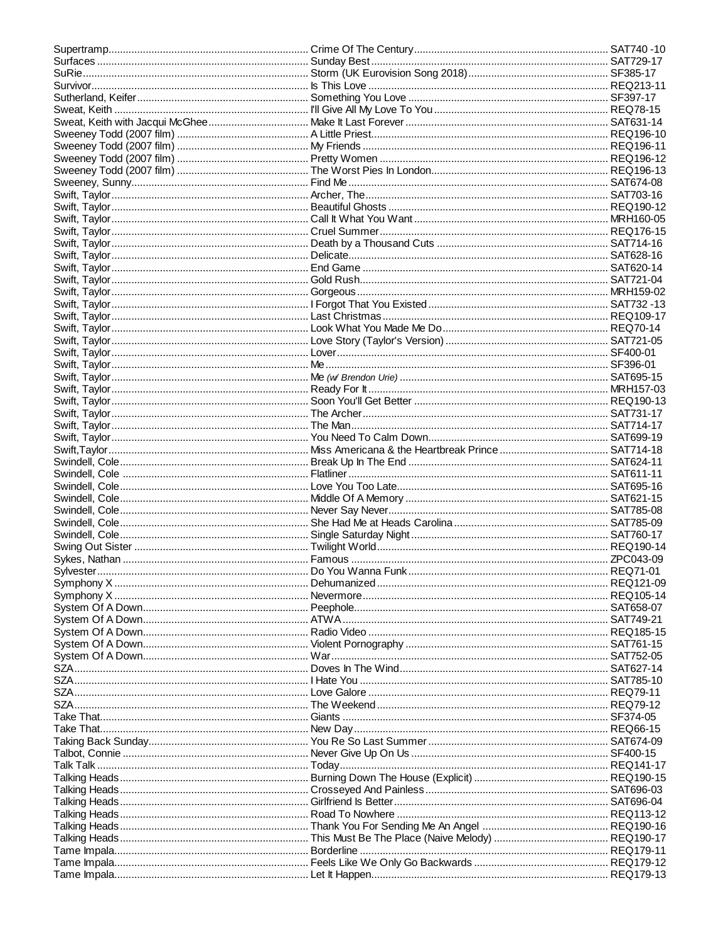| Symphony X …………………………………………………………… Nevermore…………………………………………………………………………………… REQ105-14 |  |
|----------------------------------------------------------------------------------------|--|
|                                                                                        |  |
|                                                                                        |  |
|                                                                                        |  |
|                                                                                        |  |
|                                                                                        |  |
|                                                                                        |  |
|                                                                                        |  |
|                                                                                        |  |
|                                                                                        |  |
|                                                                                        |  |
|                                                                                        |  |
|                                                                                        |  |
|                                                                                        |  |
|                                                                                        |  |
|                                                                                        |  |
|                                                                                        |  |
|                                                                                        |  |
|                                                                                        |  |
|                                                                                        |  |
|                                                                                        |  |
|                                                                                        |  |
|                                                                                        |  |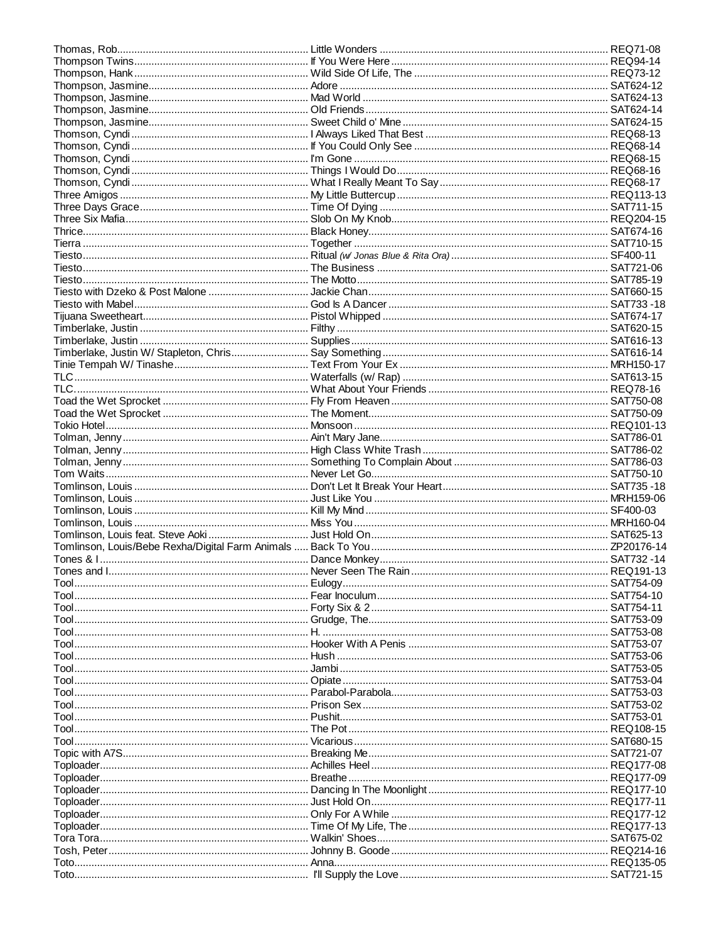|                                                                                    | . SAT753-07 |
|------------------------------------------------------------------------------------|-------------|
|                                                                                    |             |
| Tool………………………………………………………………………Jambi………………………………………………………………………………………… SAT753-05   |             |
|                                                                                    |             |
|                                                                                    |             |
|                                                                                    |             |
|                                                                                    |             |
|                                                                                    |             |
|                                                                                    |             |
| Tool…………………………………………………………………… Vicarious ………………………………………………………………………………… SAT680-15 |             |
|                                                                                    |             |
|                                                                                    |             |
|                                                                                    |             |
|                                                                                    |             |
|                                                                                    |             |
|                                                                                    |             |
|                                                                                    |             |
|                                                                                    |             |
|                                                                                    |             |
|                                                                                    |             |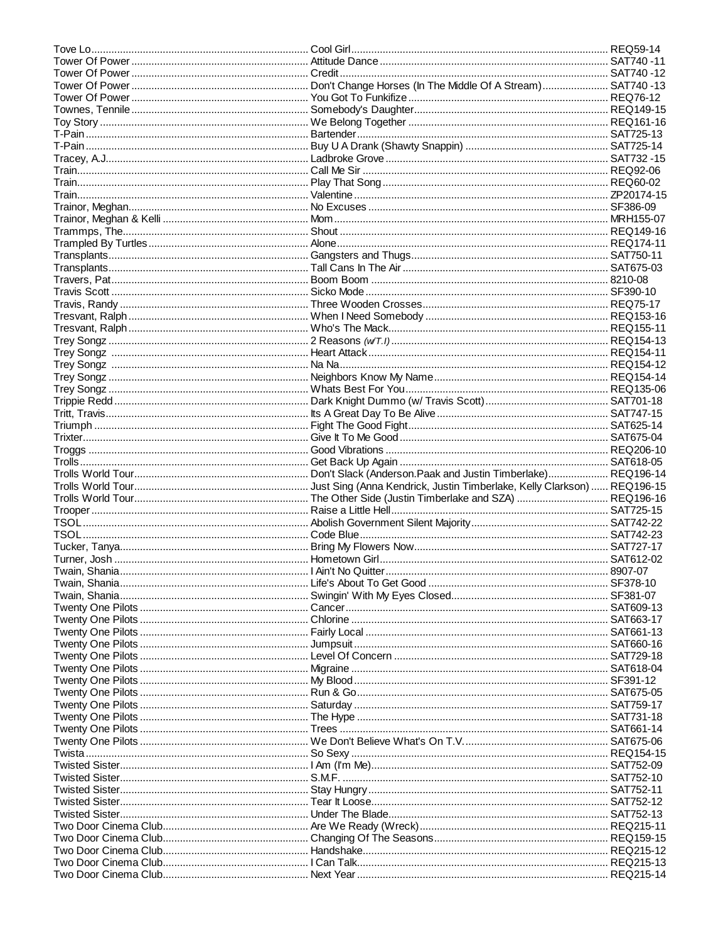| Twisted Sister………………………………………………………………… Under The Blade…………………………………………………………………… SAT752-13 |  |
|---------------------------------------------------------------------------------------------|--|
|                                                                                             |  |
|                                                                                             |  |
|                                                                                             |  |
|                                                                                             |  |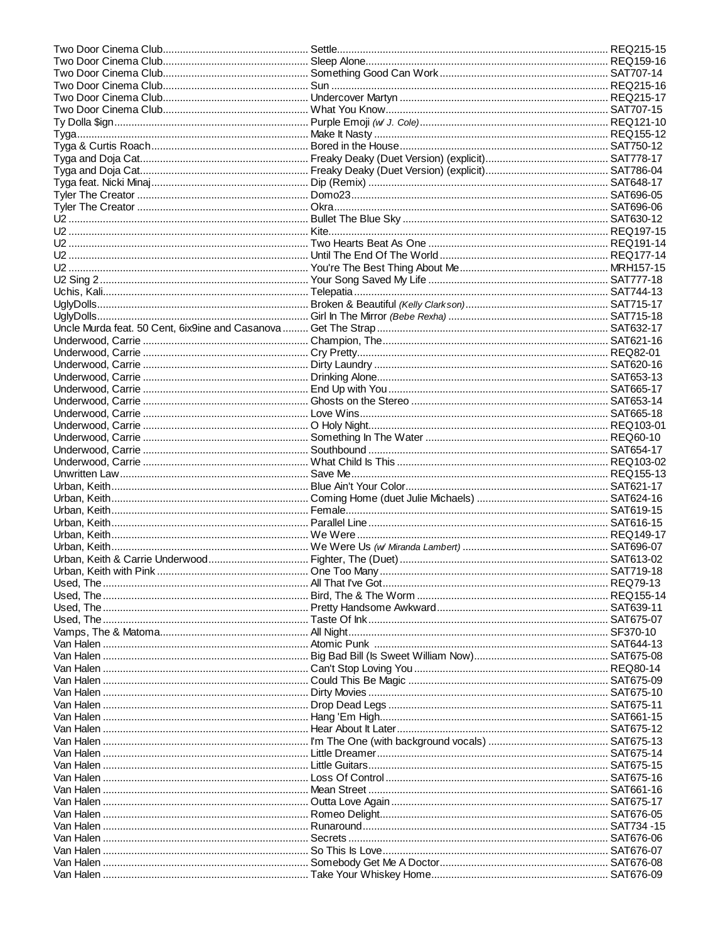| Van Halen ………………………………………………………………………………Could This Be Magic …………………………………………………………………………SAT675-09 |  |
|---------------------------------------------------------------------------------------------------|--|
| Van Halen ……………………………………………………………… Dirty Movies ………………………………………………………………………… SAT675-10            |  |
| Van Halen …………………………………………………………… Drop Dead Legs …………………………………………………………………… SAT675-11             |  |
|                                                                                                   |  |
|                                                                                                   |  |
|                                                                                                   |  |
|                                                                                                   |  |
|                                                                                                   |  |
| Van Halen ……………………………………………………………………………Loss Of Control ………………………………………………………………………………SAT675-16    |  |
|                                                                                                   |  |
| Van Halen ……………………………………………………………………… Outta Love Again ………………………………………………………………… SAT675-17        |  |
|                                                                                                   |  |
|                                                                                                   |  |
|                                                                                                   |  |
|                                                                                                   |  |
|                                                                                                   |  |
|                                                                                                   |  |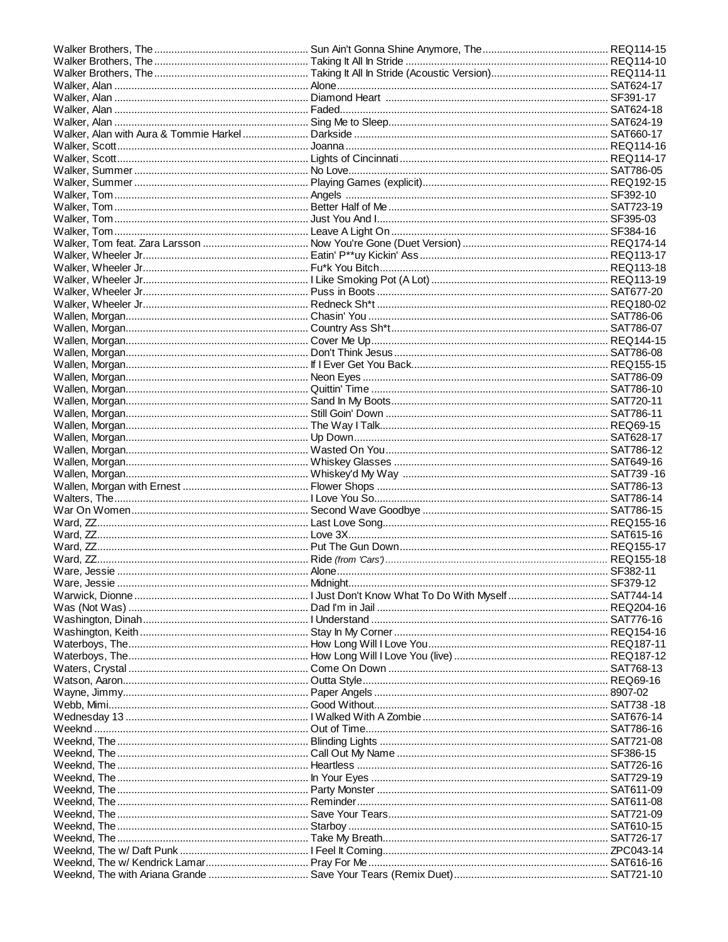| Weeknd, The …………………………………………………………… In Your Eyes ………………………………………………………………………… SAT729-19 |  |
|-----------------------------------------------------------------------------------------|--|
|                                                                                         |  |
|                                                                                         |  |
|                                                                                         |  |
|                                                                                         |  |
| Weeknd, The …………………………………………………………… Take My Breath…………………………………………………………………… SAT726-17  |  |
|                                                                                         |  |
|                                                                                         |  |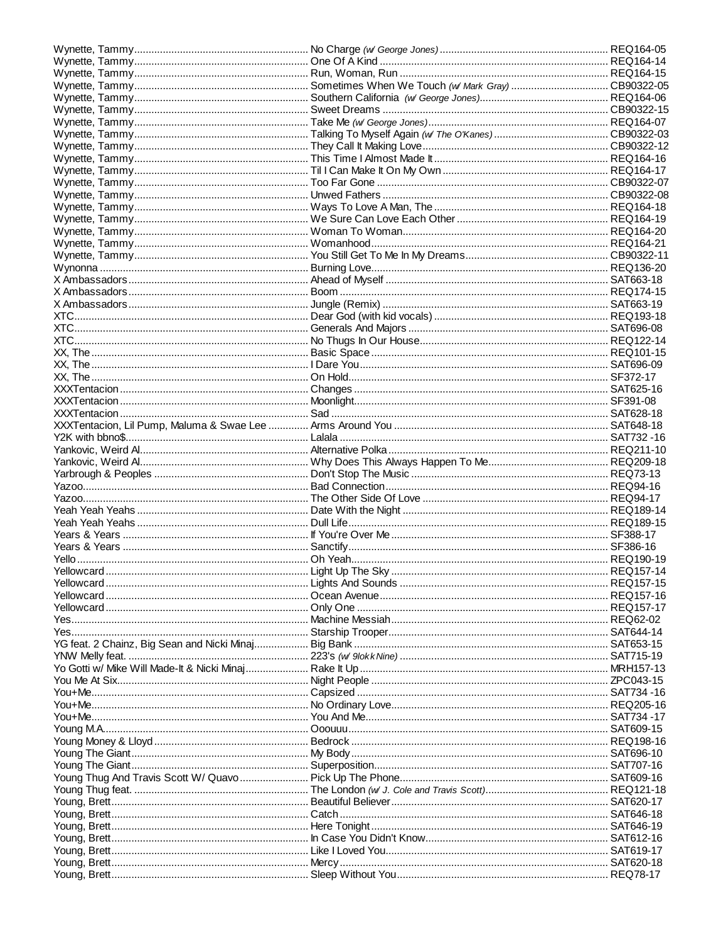| Yes……………………………………………………………………… Machine Messiah………………………………………………………………… REQ62-02 |  |
|----------------------------------------------------------------------------------|--|
|                                                                                  |  |
|                                                                                  |  |
|                                                                                  |  |
|                                                                                  |  |
|                                                                                  |  |
|                                                                                  |  |
|                                                                                  |  |
|                                                                                  |  |
|                                                                                  |  |
|                                                                                  |  |
|                                                                                  |  |
|                                                                                  |  |
|                                                                                  |  |
|                                                                                  |  |
|                                                                                  |  |
|                                                                                  |  |
|                                                                                  |  |
|                                                                                  |  |
|                                                                                  |  |
|                                                                                  |  |
|                                                                                  |  |
|                                                                                  |  |